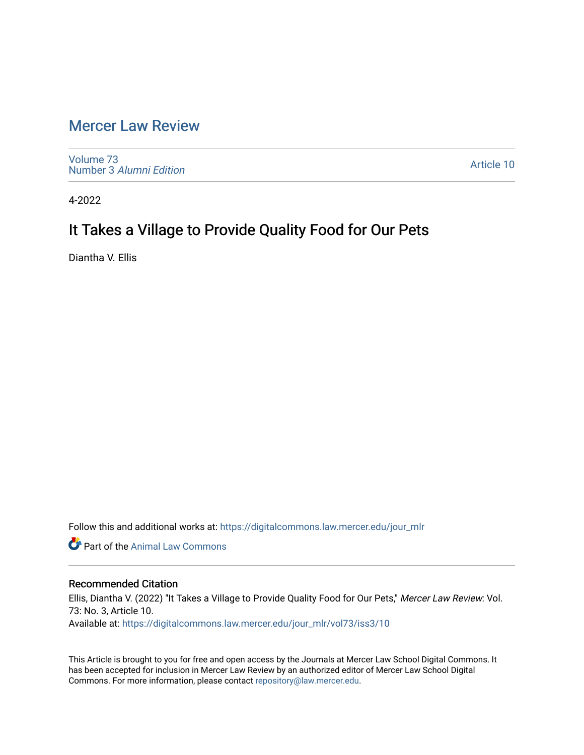# [Mercer Law Review](https://digitalcommons.law.mercer.edu/jour_mlr)

[Volume 73](https://digitalcommons.law.mercer.edu/jour_mlr/vol73) Number 3 [Alumni Edition](https://digitalcommons.law.mercer.edu/jour_mlr/vol73/iss3) 

[Article 10](https://digitalcommons.law.mercer.edu/jour_mlr/vol73/iss3/10) 

4-2022

# It Takes a Village to Provide Quality Food for Our Pets

Diantha V. Ellis

Follow this and additional works at: [https://digitalcommons.law.mercer.edu/jour\\_mlr](https://digitalcommons.law.mercer.edu/jour_mlr?utm_source=digitalcommons.law.mercer.edu%2Fjour_mlr%2Fvol73%2Fiss3%2F10&utm_medium=PDF&utm_campaign=PDFCoverPages)

Part of the [Animal Law Commons](http://network.bepress.com/hgg/discipline/831?utm_source=digitalcommons.law.mercer.edu%2Fjour_mlr%2Fvol73%2Fiss3%2F10&utm_medium=PDF&utm_campaign=PDFCoverPages) 

# Recommended Citation

Ellis, Diantha V. (2022) "It Takes a Village to Provide Quality Food for Our Pets," Mercer Law Review: Vol. 73: No. 3, Article 10. Available at: [https://digitalcommons.law.mercer.edu/jour\\_mlr/vol73/iss3/10](https://digitalcommons.law.mercer.edu/jour_mlr/vol73/iss3/10?utm_source=digitalcommons.law.mercer.edu%2Fjour_mlr%2Fvol73%2Fiss3%2F10&utm_medium=PDF&utm_campaign=PDFCoverPages) 

This Article is brought to you for free and open access by the Journals at Mercer Law School Digital Commons. It has been accepted for inclusion in Mercer Law Review by an authorized editor of Mercer Law School Digital Commons. For more information, please contact [repository@law.mercer.edu.](mailto:repository@law.mercer.edu)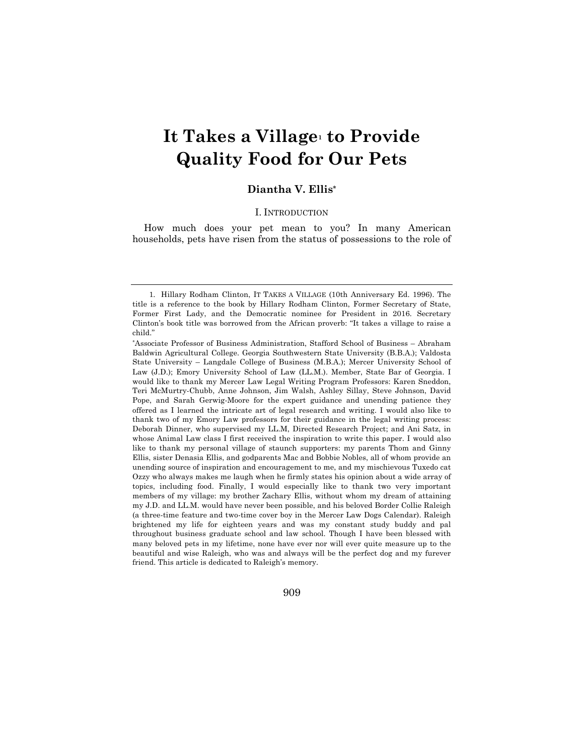# **It Takes a Village1 to Provide Quality Food for Our Pets**

# **Diantha V. Ellis\***

# I. INTRODUCTION

How much does your pet mean to you? In many American households, pets have risen from the status of possessions to the role of

909

<sup>1.</sup> Hillary Rodham Clinton, IT TAKES A VILLAGE (10th Anniversary Ed. 1996). The title is a reference to the book by Hillary Rodham Clinton, Former Secretary of State, Former First Lady, and the Democratic nominee for President in 2016. Secretary Clinton's book title was borrowed from the African proverb: "It takes a village to raise a child."

<sup>\*</sup>Associate Professor of Business Administration, Stafford School of Business – Abraham Baldwin Agricultural College. Georgia Southwestern State University (B.B.A.); Valdosta State University – Langdale College of Business (M.B.A.); Mercer University School of Law (J.D.); Emory University School of Law (LL.M.). Member, State Bar of Georgia. I would like to thank my Mercer Law Legal Writing Program Professors: Karen Sneddon, Teri McMurtry-Chubb, Anne Johnson, Jim Walsh, Ashley Sillay, Steve Johnson, David Pope, and Sarah Gerwig-Moore for the expert guidance and unending patience they offered as I learned the intricate art of legal research and writing. I would also like to thank two of my Emory Law professors for their guidance in the legal writing process: Deborah Dinner, who supervised my LL.M, Directed Research Project; and Ani Satz, in whose Animal Law class I first received the inspiration to write this paper. I would also like to thank my personal village of staunch supporters: my parents Thom and Ginny Ellis, sister Denasia Ellis, and godparents Mac and Bobbie Nobles, all of whom provide an unending source of inspiration and encouragement to me, and my mischievous Tuxedo cat Ozzy who always makes me laugh when he firmly states his opinion about a wide array of topics, including food. Finally, I would especially like to thank two very important members of my village: my brother Zachary Ellis, without whom my dream of attaining my J.D. and LL.M. would have never been possible, and his beloved Border Collie Raleigh (a three-time feature and two-time cover boy in the Mercer Law Dogs Calendar). Raleigh brightened my life for eighteen years and was my constant study buddy and pal throughout business graduate school and law school. Though I have been blessed with many beloved pets in my lifetime, none have ever nor will ever quite measure up to the beautiful and wise Raleigh, who was and always will be the perfect dog and my furever friend. This article is dedicated to Raleigh's memory.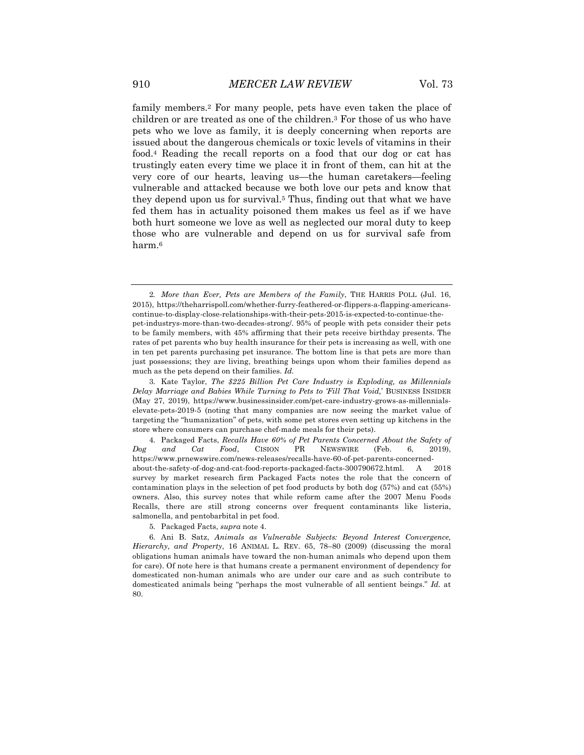family members.2 For many people, pets have even taken the place of children or are treated as one of the children.3 For those of us who have pets who we love as family, it is deeply concerning when reports are issued about the dangerous chemicals or toxic levels of vitamins in their food.4 Reading the recall reports on a food that our dog or cat has trustingly eaten every time we place it in front of them, can hit at the very core of our hearts, leaving us—the human caretakers—feeling vulnerable and attacked because we both love our pets and know that they depend upon us for survival.5 Thus, finding out that what we have fed them has in actuality poisoned them makes us feel as if we have both hurt someone we love as well as neglected our moral duty to keep those who are vulnerable and depend on us for survival safe from harm.6

4. Packaged Facts, *Recalls Have 60% of Pet Parents Concerned About the Safety of Dog and Cat Food*, CISION PR NEWSWIRE (Feb. 6, 2019), https://www.prnewswire.com/news-releases/recalls-have-60-of-pet-parents-concernedabout-the-safety-of-dog-and-cat-food-reports-packaged-facts-300790672.html. A 2018 survey by market research firm Packaged Facts notes the role that the concern of contamination plays in the selection of pet food products by both dog (57%) and cat (55%) owners. Also, this survey notes that while reform came after the 2007 Menu Foods Recalls, there are still strong concerns over frequent contaminants like listeria, salmonella, and pentobarbital in pet food.

5. Packaged Facts, *supra* note 4.

6. Ani B. Satz, *Animals as Vulnerable Subjects: Beyond Interest Convergence, Hierarchy, and Property*, 16 ANIMAL L. REV. 65, 78–80 (2009) (discussing the moral obligations human animals have toward the non-human animals who depend upon them for care). Of note here is that humans create a permanent environment of dependency for domesticated non-human animals who are under our care and as such contribute to domesticated animals being "perhaps the most vulnerable of all sentient beings." *Id.* at 80.

<sup>2</sup>*. More than Ever, Pets are Members of the Family*, THE HARRIS POLL (Jul. 16, 2015), https://theharrispoll.com/whether-furry-feathered-or-flippers-a-flapping-americanscontinue-to-display-close-relationships-with-their-pets-2015-is-expected-to-continue-thepet-industrys-more-than-two-decades-strong/. 95% of people with pets consider their pets to be family members, with 45% affirming that their pets receive birthday presents. The rates of pet parents who buy health insurance for their pets is increasing as well, with one in ten pet parents purchasing pet insurance. The bottom line is that pets are more than just possessions; they are living, breathing beings upon whom their families depend as much as the pets depend on their families. *Id.*

<sup>3.</sup> Kate Taylor, *The \$225 Billion Pet Care Industry is Exploding, as Millennials Delay Marriage and Babies While Turning to Pets to 'Fill That Void,*' BUSINESS INSIDER (May 27, 2019), https://www.businessinsider.com/pet-care-industry-grows-as-millennialselevate-pets-2019-5 (noting that many companies are now seeing the market value of targeting the "humanization" of pets, with some pet stores even setting up kitchens in the store where consumers can purchase chef-made meals for their pets).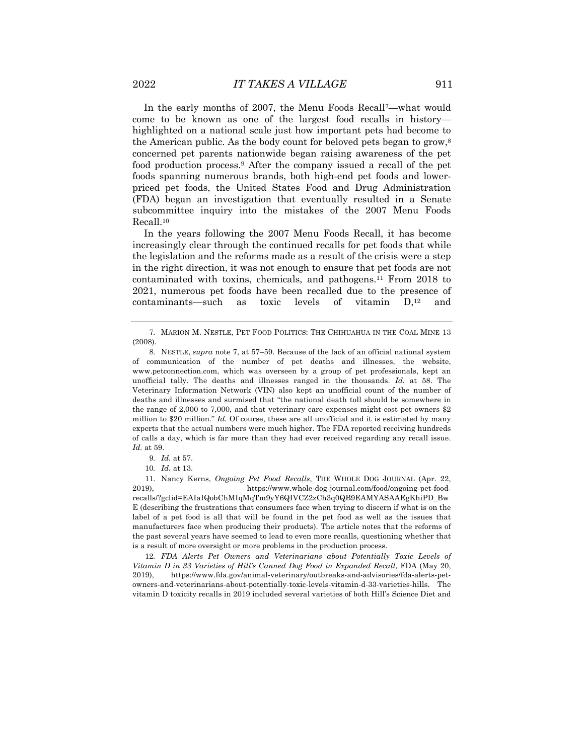In the early months of 2007, the Menu Foods Recall7—what would come to be known as one of the largest food recalls in history highlighted on a national scale just how important pets had become to the American public. As the body count for beloved pets began to grow,<sup>8</sup> concerned pet parents nationwide began raising awareness of the pet food production process.9 After the company issued a recall of the pet foods spanning numerous brands, both high-end pet foods and lowerpriced pet foods, the United States Food and Drug Administration (FDA) began an investigation that eventually resulted in a Senate subcommittee inquiry into the mistakes of the 2007 Menu Foods Recall.10

In the years following the 2007 Menu Foods Recall, it has become increasingly clear through the continued recalls for pet foods that while the legislation and the reforms made as a result of the crisis were a step in the right direction, it was not enough to ensure that pet foods are not contaminated with toxins, chemicals, and pathogens.11 From 2018 to 2021, numerous pet foods have been recalled due to the presence of contaminants—such as toxic levels of vitamin D,12 and

11. Nancy Kerns, *Ongoing Pet Food Recalls*, THE WHOLE DOG JOURNAL (Apr. 22, 2019), https://www.whole-dog-journal.com/food/ongoing-pet-foodrecalls/?gclid=EAIaIQobChMIqMqTm9yY6QIVCZ2zCh3q0QB9EAMYASAAEgKhiPD\_Bw E (describing the frustrations that consumers face when trying to discern if what is on the label of a pet food is all that will be found in the pet food as well as the issues that manufacturers face when producing their products). The article notes that the reforms of the past several years have seemed to lead to even more recalls, questioning whether that is a result of more oversight or more problems in the production process.

12*. FDA Alerts Pet Owners and Veterinarians about Potentially Toxic Levels of Vitamin D in 33 Varieties of Hill's Canned Dog Food in Expanded Recall*, FDA (May 20, 2019), https://www.fda.gov/animal-veterinary/outbreaks-and-advisories/fda-alerts-petowners-and-veterinarians-about-potentially-toxic-levels-vitamin-d-33-varieties-hills. The vitamin D toxicity recalls in 2019 included several varieties of both Hill's Science Diet and

<sup>7.</sup> MARION M. NESTLE, PET FOOD POLITICS: THE CHIHUAHUA IN THE COAL MINE 13 (2008).

<sup>8.</sup> NESTLE, *supra* note 7, at 57–59. Because of the lack of an official national system of communication of the number of pet deaths and illnesses, the website, www.petconnection.com, which was overseen by a group of pet professionals, kept an unofficial tally. The deaths and illnesses ranged in the thousands. *Id.* at 58. The Veterinary Information Network (VIN) also kept an unofficial count of the number of deaths and illnesses and surmised that "the national death toll should be somewhere in the range of 2,000 to 7,000, and that veterinary care expenses might cost pet owners \$2 million to \$20 million." *Id.* Of course, these are all unofficial and it is estimated by many experts that the actual numbers were much higher. The FDA reported receiving hundreds of calls a day, which is far more than they had ever received regarding any recall issue. *Id.* at 59.

<sup>9</sup>*. Id.* at 57.

<sup>10</sup>*. Id.* at 13.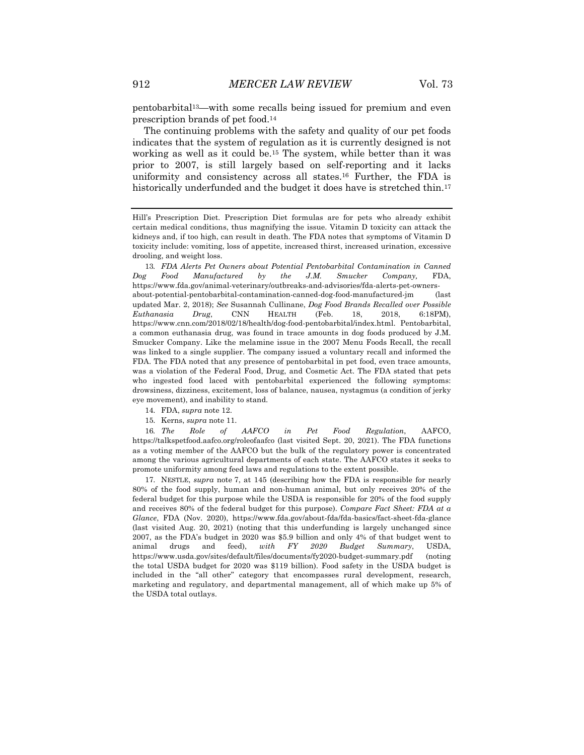pentobarbital13—with some recalls being issued for premium and even prescription brands of pet food.14

The continuing problems with the safety and quality of our pet foods indicates that the system of regulation as it is currently designed is not working as well as it could be.15 The system, while better than it was prior to 2007, is still largely based on self-reporting and it lacks uniformity and consistency across all states.16 Further, the FDA is historically underfunded and the budget it does have is stretched thin.<sup>17</sup>

13*. FDA Alerts Pet Owners about Potential Pentobarbital Contamination in Canned Dog Food Manufactured by the J.M. Smucker Company,* FDA, https://www.fda.gov/animal-veterinary/outbreaks-and-advisories/fda-alerts-pet-ownersabout-potential-pentobarbital-contamination-canned-dog-food-manufactured-jm (last updated Mar. 2, 2018); *See* Susannah Cullinane, *Dog Food Brands Recalled over Possible Euthanasia Drug*, CNN HEALTH (Feb. 18, 2018, 6:18PM), https://www.cnn.com/2018/02/18/health/dog-food-pentobarbital/index.html. Pentobarbital, a common euthanasia drug, was found in trace amounts in dog foods produced by J.M. Smucker Company. Like the melamine issue in the 2007 Menu Foods Recall, the recall was linked to a single supplier. The company issued a voluntary recall and informed the FDA. The FDA noted that any presence of pentobarbital in pet food, even trace amounts, was a violation of the Federal Food, Drug, and Cosmetic Act. The FDA stated that pets who ingested food laced with pentobarbital experienced the following symptoms: drowsiness, dizziness, excitement, loss of balance, nausea, nystagmus (a condition of jerky eye movement), and inability to stand.

15. Kerns, *supra* note 11.

16*. The Role of AAFCO in Pet Food Regulation*, AAFCO, https://talkspetfood.aafco.org/roleofaafco (last visited Sept. 20, 2021). The FDA functions as a voting member of the AAFCO but the bulk of the regulatory power is concentrated among the various agricultural departments of each state. The AAFCO states it seeks to promote uniformity among feed laws and regulations to the extent possible.

17. NESTLE, *supra* note 7, at 145 (describing how the FDA is responsible for nearly 80% of the food supply, human and non-human animal, but only receives 20% of the federal budget for this purpose while the USDA is responsible for 20% of the food supply and receives 80% of the federal budget for this purpose). *Compare Fact Sheet: FDA at a Glance*, FDA (Nov. 2020), https://www.fda.gov/about-fda/fda-basics/fact-sheet-fda-glance (last visited Aug. 20, 2021) (noting that this underfunding is largely unchanged since 2007, as the FDA's budget in 2020 was \$5.9 billion and only 4% of that budget went to animal drugs and feed), *with FY 2020 Budget Summary*, USDA, https://www.usda.gov/sites/default/files/documents/fy2020-budget-summary.pdf (noting the total USDA budget for 2020 was \$119 billion). Food safety in the USDA budget is included in the "all other" category that encompasses rural development, research, marketing and regulatory, and departmental management, all of which make up 5% of the USDA total outlays.

Hill's Prescription Diet*.* Prescription Diet formulas are for pets who already exhibit certain medical conditions, thus magnifying the issue. Vitamin D toxicity can attack the kidneys and, if too high, can result in death. The FDA notes that symptoms of Vitamin D toxicity include: vomiting, loss of appetite, increased thirst, increased urination, excessive drooling, and weight loss.

<sup>14.</sup> FDA, *supra* note 12.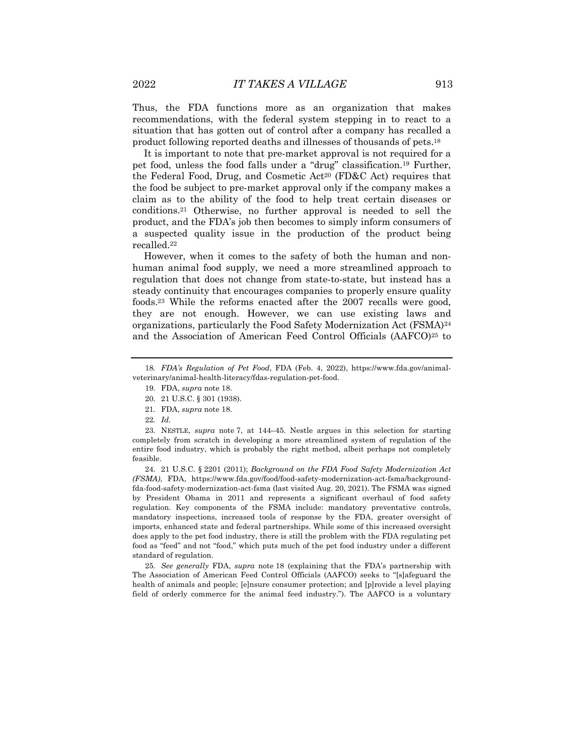Thus, the FDA functions more as an organization that makes recommendations, with the federal system stepping in to react to a situation that has gotten out of control after a company has recalled a product following reported deaths and illnesses of thousands of pets.18

It is important to note that pre-market approval is not required for a pet food, unless the food falls under a "drug" classification.19 Further, the Federal Food, Drug, and Cosmetic Act<sup>20</sup> (FD&C Act) requires that the food be subject to pre-market approval only if the company makes a claim as to the ability of the food to help treat certain diseases or conditions.21 Otherwise, no further approval is needed to sell the product, and the FDA's job then becomes to simply inform consumers of a suspected quality issue in the production of the product being recalled.22

However, when it comes to the safety of both the human and nonhuman animal food supply, we need a more streamlined approach to regulation that does not change from state-to-state, but instead has a steady continuity that encourages companies to properly ensure quality foods.23 While the reforms enacted after the 2007 recalls were good, they are not enough. However, we can use existing laws and organizations, particularly the Food Safety Modernization Act (FSMA)24 and the Association of American Feed Control Officials (AAFCO)25 to

23. NESTLE, *supra* note 7, at 144–45. Nestle argues in this selection for starting completely from scratch in developing a more streamlined system of regulation of the entire food industry, which is probably the right method, albeit perhaps not completely feasible.

24. 21 U.S.C. § 2201 (2011); *Background on the FDA Food Safety Modernization Act (FSMA)*, FDA, https://www.fda.gov/food/food-safety-modernization-act-fsma/backgroundfda-food-safety-modernization-act-fsma (last visited Aug. 20, 2021). The FSMA was signed by President Obama in 2011 and represents a significant overhaul of food safety regulation. Key components of the FSMA include: mandatory preventative controls, mandatory inspections, increased tools of response by the FDA, greater oversight of imports, enhanced state and federal partnerships. While some of this increased oversight does apply to the pet food industry, there is still the problem with the FDA regulating pet food as "feed" and not "food," which puts much of the pet food industry under a different standard of regulation.

25*. See generally* FDA, *supra* note 18 (explaining that the FDA's partnership with The Association of American Feed Control Officials (AAFCO) seeks to "[s]afeguard the health of animals and people; [e]nsure consumer protection; and [p]rovide a level playing field of orderly commerce for the animal feed industry."). The AAFCO is a voluntary

<sup>18</sup>*. FDA's Regulation of Pet Food*, FDA (Feb. 4, 2022), https://www.fda.gov/animalveterinary/animal-health-literacy/fdas-regulation-pet-food.

<sup>19.</sup> FDA, *supra* note 18.

<sup>20.</sup> 21 U.S.C. § 301 (1938).

<sup>21.</sup> FDA, *supra* note 18.

<sup>22</sup>*. Id.*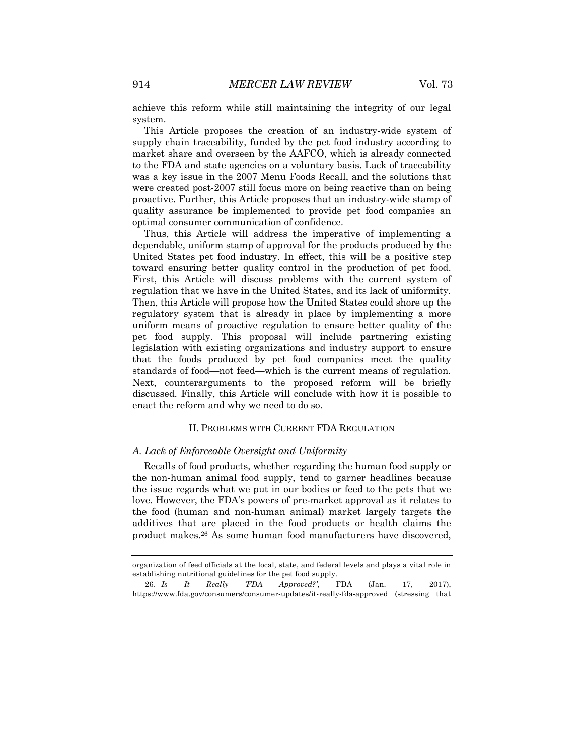achieve this reform while still maintaining the integrity of our legal system.

This Article proposes the creation of an industry-wide system of supply chain traceability, funded by the pet food industry according to market share and overseen by the AAFCO, which is already connected to the FDA and state agencies on a voluntary basis. Lack of traceability was a key issue in the 2007 Menu Foods Recall, and the solutions that were created post-2007 still focus more on being reactive than on being proactive. Further, this Article proposes that an industry-wide stamp of quality assurance be implemented to provide pet food companies an optimal consumer communication of confidence.

Thus, this Article will address the imperative of implementing a dependable, uniform stamp of approval for the products produced by the United States pet food industry. In effect, this will be a positive step toward ensuring better quality control in the production of pet food. First, this Article will discuss problems with the current system of regulation that we have in the United States, and its lack of uniformity. Then, this Article will propose how the United States could shore up the regulatory system that is already in place by implementing a more uniform means of proactive regulation to ensure better quality of the pet food supply. This proposal will include partnering existing legislation with existing organizations and industry support to ensure that the foods produced by pet food companies meet the quality standards of food—not feed—which is the current means of regulation. Next, counterarguments to the proposed reform will be briefly discussed. Finally, this Article will conclude with how it is possible to enact the reform and why we need to do so.

#### II. PROBLEMS WITH CURRENT FDA REGULATION

### *A. Lack of Enforceable Oversight and Uniformity*

Recalls of food products, whether regarding the human food supply or the non-human animal food supply, tend to garner headlines because the issue regards what we put in our bodies or feed to the pets that we love. However, the FDA's powers of pre-market approval as it relates to the food (human and non-human animal) market largely targets the additives that are placed in the food products or health claims the product makes.26 As some human food manufacturers have discovered,

organization of feed officials at the local, state, and federal levels and plays a vital role in establishing nutritional guidelines for the pet food supply.

<sup>26</sup>*. Is It Really 'FDA Approved?'*, FDA (Jan. 17, 2017), https://www.fda.gov/consumers/consumer-updates/it-really-fda-approved (stressing that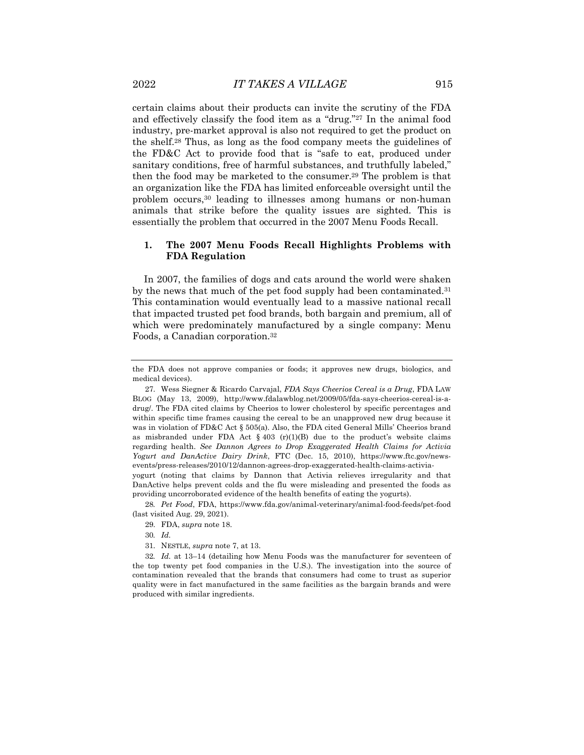certain claims about their products can invite the scrutiny of the FDA and effectively classify the food item as a "drug."27 In the animal food industry, pre-market approval is also not required to get the product on the shelf.28 Thus, as long as the food company meets the guidelines of the FD&C Act to provide food that is "safe to eat, produced under sanitary conditions, free of harmful substances, and truthfully labeled," then the food may be marketed to the consumer.29 The problem is that an organization like the FDA has limited enforceable oversight until the problem occurs,30 leading to illnesses among humans or non-human animals that strike before the quality issues are sighted. This is essentially the problem that occurred in the 2007 Menu Foods Recall.

# **1. The 2007 Menu Foods Recall Highlights Problems with FDA Regulation**

In 2007, the families of dogs and cats around the world were shaken by the news that much of the pet food supply had been contaminated.31 This contamination would eventually lead to a massive national recall that impacted trusted pet food brands, both bargain and premium, all of which were predominately manufactured by a single company: Menu Foods, a Canadian corporation.32

yogurt (noting that claims by Dannon that Activia relieves irregularity and that DanActive helps prevent colds and the flu were misleading and presented the foods as providing uncorroborated evidence of the health benefits of eating the yogurts).

28*. Pet Food*, FDA, https://www.fda.gov/animal-veterinary/animal-food-feeds/pet-food (last visited Aug. 29, 2021).

31. NESTLE, *supra* note 7, at 13.

32*. Id.* at 13–14 (detailing how Menu Foods was the manufacturer for seventeen of the top twenty pet food companies in the U.S.). The investigation into the source of contamination revealed that the brands that consumers had come to trust as superior quality were in fact manufactured in the same facilities as the bargain brands and were produced with similar ingredients.

the FDA does not approve companies or foods; it approves new drugs, biologics, and medical devices).

<sup>27.</sup> Wess Siegner & Ricardo Carvajal, *FDA Says Cheerios Cereal is a Drug*, FDA LAW BLOG (May 13, 2009), http://www.fdalawblog.net/2009/05/fda-says-cheerios-cereal-is-adrug/. The FDA cited claims by Cheerios to lower cholesterol by specific percentages and within specific time frames causing the cereal to be an unapproved new drug because it was in violation of FD&C Act § 505(a). Also, the FDA cited General Mills' Cheerios brand as misbranded under FDA Act  $\S 403$  (r)(1)(B) due to the product's website claims regarding health. *See Dannon Agrees to Drop Exaggerated Health Claims for Activia Yogurt and DanActive Dairy Drink*, FTC (Dec. 15, 2010), https://www.ftc.gov/newsevents/press-releases/2010/12/dannon-agrees-drop-exaggerated-health-claims-activia-

<sup>29.</sup> FDA, *supra* note 18.

<sup>30</sup>*. Id.*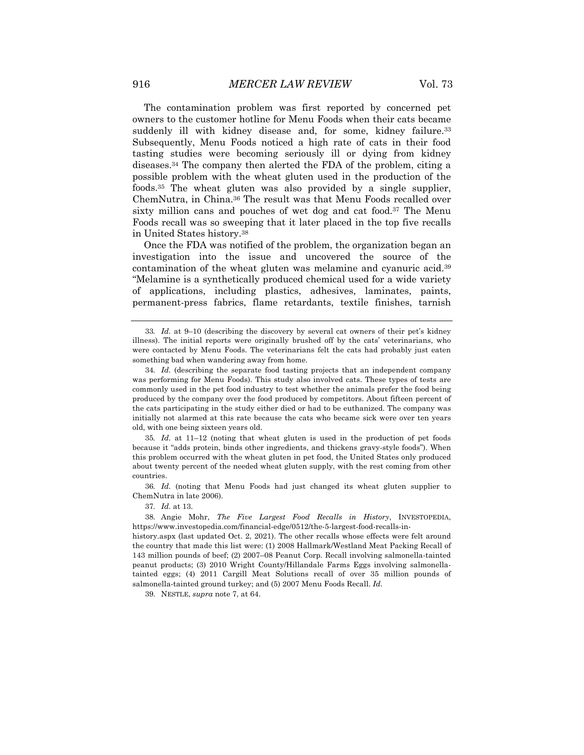The contamination problem was first reported by concerned pet owners to the customer hotline for Menu Foods when their cats became suddenly ill with kidney disease and, for some, kidney failure.<sup>33</sup> Subsequently, Menu Foods noticed a high rate of cats in their food tasting studies were becoming seriously ill or dying from kidney diseases.34 The company then alerted the FDA of the problem, citing a possible problem with the wheat gluten used in the production of the foods.35 The wheat gluten was also provided by a single supplier, ChemNutra, in China.36 The result was that Menu Foods recalled over sixty million cans and pouches of wet dog and cat food.37 The Menu Foods recall was so sweeping that it later placed in the top five recalls in United States history.38

Once the FDA was notified of the problem, the organization began an investigation into the issue and uncovered the source of the contamination of the wheat gluten was melamine and cyanuric acid.39 "Melamine is a synthetically produced chemical used for a wide variety of applications, including plastics, adhesives, laminates, paints, permanent-press fabrics, flame retardants, textile finishes, tarnish

35*. Id.* at 11–12 (noting that wheat gluten is used in the production of pet foods because it "adds protein, binds other ingredients, and thickens gravy-style foods"). When this problem occurred with the wheat gluten in pet food, the United States only produced about twenty percent of the needed wheat gluten supply, with the rest coming from other countries.

36*. Id.* (noting that Menu Foods had just changed its wheat gluten supplier to ChemNutra in late 2006).

37*. Id.* at 13.

38. Angie Mohr, *The Five Largest Food Recalls in History*, INVESTOPEDIA, https://www.investopedia.com/financial-edge/0512/the-5-largest-food-recalls-in-

history.aspx (last updated Oct. 2, 2021). The other recalls whose effects were felt around the country that made this list were: (1) 2008 Hallmark/Westland Meat Packing Recall of 143 million pounds of beef; (2) 2007–08 Peanut Corp. Recall involving salmonella-tainted peanut products; (3) 2010 Wright County/Hillandale Farms Eggs involving salmonellatainted eggs; (4) 2011 Cargill Meat Solutions recall of over 35 million pounds of salmonella-tainted ground turkey; and (5) 2007 Menu Foods Recall. *Id.*

39. NESTLE, *supra* note 7, at 64.

<sup>33</sup>*. Id.* at 9–10 (describing the discovery by several cat owners of their pet's kidney illness). The initial reports were originally brushed off by the cats' veterinarians, who were contacted by Menu Foods. The veterinarians felt the cats had probably just eaten something bad when wandering away from home.

<sup>34</sup>*. Id.* (describing the separate food tasting projects that an independent company was performing for Menu Foods). This study also involved cats. These types of tests are commonly used in the pet food industry to test whether the animals prefer the food being produced by the company over the food produced by competitors. About fifteen percent of the cats participating in the study either died or had to be euthanized. The company was initially not alarmed at this rate because the cats who became sick were over ten years old, with one being sixteen years old.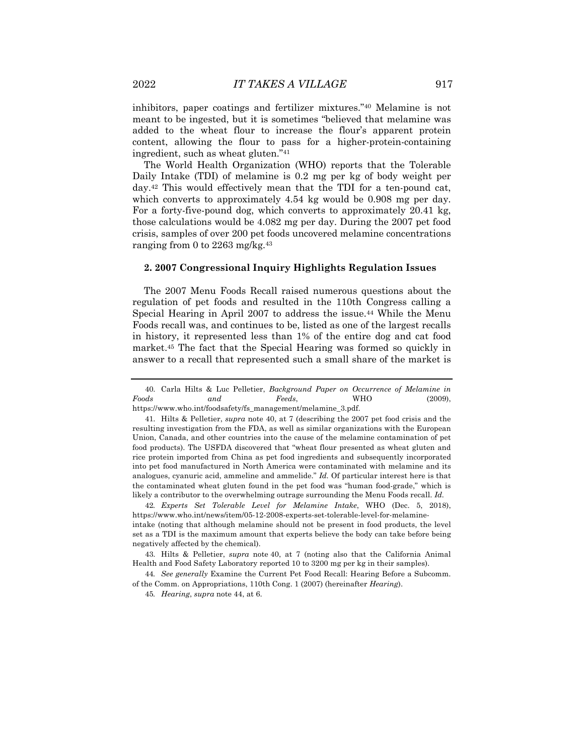inhibitors, paper coatings and fertilizer mixtures."40 Melamine is not meant to be ingested, but it is sometimes "believed that melamine was added to the wheat flour to increase the flour's apparent protein content, allowing the flour to pass for a higher-protein-containing ingredient, such as wheat gluten."41

The World Health Organization (WHO) reports that the Tolerable Daily Intake (TDI) of melamine is 0.2 mg per kg of body weight per day.42 This would effectively mean that the TDI for a ten-pound cat, which converts to approximately 4.54 kg would be 0.908 mg per day. For a forty-five-pound dog, which converts to approximately 20.41 kg, those calculations would be 4.082 mg per day. During the 2007 pet food crisis, samples of over 200 pet foods uncovered melamine concentrations ranging from 0 to 2263 mg/kg.43

#### **2. 2007 Congressional Inquiry Highlights Regulation Issues**

The 2007 Menu Foods Recall raised numerous questions about the regulation of pet foods and resulted in the 110th Congress calling a Special Hearing in April 2007 to address the issue.<sup>44</sup> While the Menu Foods recall was, and continues to be, listed as one of the largest recalls in history, it represented less than 1% of the entire dog and cat food market.45 The fact that the Special Hearing was formed so quickly in answer to a recall that represented such a small share of the market is

40. Carla Hilts & Luc Pelletier, *Background Paper on Occurrence of Melamine in Foods and Feeds*, WHO (2009), https://www.who.int/foodsafety/fs\_management/melamine\_3.pdf.

<sup>41.</sup> Hilts & Pelletier, *supra* note 40, at 7 (describing the 2007 pet food crisis and the

resulting investigation from the FDA, as well as similar organizations with the European Union, Canada, and other countries into the cause of the melamine contamination of pet food products). The USFDA discovered that "wheat flour presented as wheat gluten and rice protein imported from China as pet food ingredients and subsequently incorporated into pet food manufactured in North America were contaminated with melamine and its analogues, cyanuric acid, ammeline and ammelide." *Id.* Of particular interest here is that the contaminated wheat gluten found in the pet food was "human food-grade," which is likely a contributor to the overwhelming outrage surrounding the Menu Foods recall. *Id.*

<sup>42</sup>*. Experts Set Tolerable Level for Melamine Intake*, WHO (Dec. 5, 2018), https://www.who.int/news/item/05-12-2008-experts-set-tolerable-level-for-melamine-

intake (noting that although melamine should not be present in food products, the level set as a TDI is the maximum amount that experts believe the body can take before being negatively affected by the chemical).

<sup>43.</sup> Hilts & Pelletier, *supra* note 40, at 7 (noting also that the California Animal Health and Food Safety Laboratory reported 10 to 3200 mg per kg in their samples).

<sup>44</sup>*. See generally* Examine the Current Pet Food Recall: Hearing Before a Subcomm. of the Comm. on Appropriations, 110th Cong. 1 (2007) (hereinafter *Hearing*).

<sup>45</sup>*. Hearing*, *supra* note 44, at 6.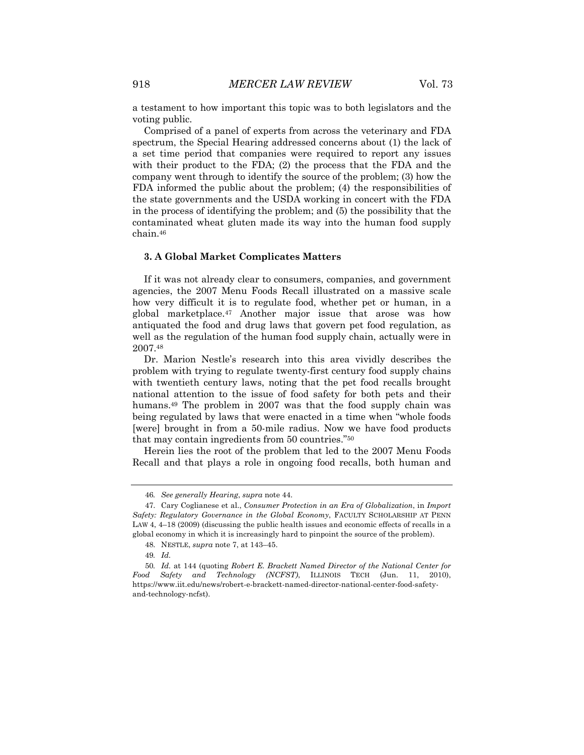a testament to how important this topic was to both legislators and the voting public.

Comprised of a panel of experts from across the veterinary and FDA spectrum, the Special Hearing addressed concerns about (1) the lack of a set time period that companies were required to report any issues with their product to the FDA; (2) the process that the FDA and the company went through to identify the source of the problem; (3) how the FDA informed the public about the problem; (4) the responsibilities of the state governments and the USDA working in concert with the FDA in the process of identifying the problem; and (5) the possibility that the contaminated wheat gluten made its way into the human food supply chain.46

#### **3. A Global Market Complicates Matters**

If it was not already clear to consumers, companies, and government agencies, the 2007 Menu Foods Recall illustrated on a massive scale how very difficult it is to regulate food, whether pet or human, in a global marketplace.47 Another major issue that arose was how antiquated the food and drug laws that govern pet food regulation, as well as the regulation of the human food supply chain, actually were in 2007.48

Dr. Marion Nestle's research into this area vividly describes the problem with trying to regulate twenty-first century food supply chains with twentieth century laws, noting that the pet food recalls brought national attention to the issue of food safety for both pets and their humans.49 The problem in 2007 was that the food supply chain was being regulated by laws that were enacted in a time when "whole foods [were] brought in from a 50-mile radius. Now we have food products that may contain ingredients from 50 countries."50

Herein lies the root of the problem that led to the 2007 Menu Foods Recall and that plays a role in ongoing food recalls, both human and

<sup>46</sup>*. See generally Hearing*, *supra* note 44.

<sup>47.</sup> Cary Coglianese et al., *Consumer Protection in an Era of Globalization*, in *Import Safety: Regulatory Governance in the Global Economy*, FACULTY SCHOLARSHIP AT PENN LAW 4, 4–18 (2009) (discussing the public health issues and economic effects of recalls in a global economy in which it is increasingly hard to pinpoint the source of the problem).

<sup>48.</sup> NESTLE, *supra* note 7, at 143–45.

<sup>49</sup>*. Id.*

<sup>50</sup>*. Id.* at 144 (quoting *Robert E. Brackett Named Director of the National Center for Food Safety and Technology (NCFST)*, ILLINOIS TECH (Jun. 11, 2010), https://www.iit.edu/news/robert-e-brackett-named-director-national-center-food-safetyand-technology-ncfst).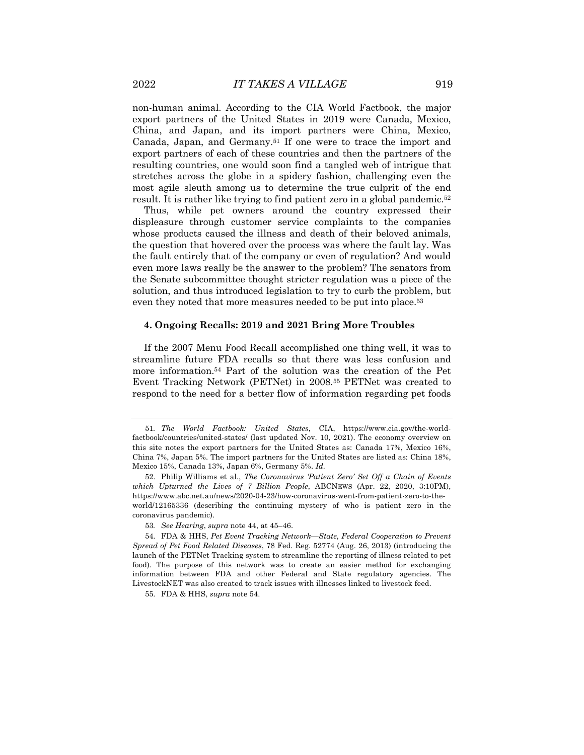non-human animal. According to the CIA World Factbook, the major export partners of the United States in 2019 were Canada, Mexico, China, and Japan, and its import partners were China, Mexico, Canada, Japan, and Germany.51 If one were to trace the import and export partners of each of these countries and then the partners of the resulting countries, one would soon find a tangled web of intrigue that stretches across the globe in a spidery fashion, challenging even the most agile sleuth among us to determine the true culprit of the end result. It is rather like trying to find patient zero in a global pandemic.<sup>52</sup>

Thus, while pet owners around the country expressed their displeasure through customer service complaints to the companies whose products caused the illness and death of their beloved animals, the question that hovered over the process was where the fault lay. Was the fault entirely that of the company or even of regulation? And would even more laws really be the answer to the problem? The senators from the Senate subcommittee thought stricter regulation was a piece of the solution, and thus introduced legislation to try to curb the problem, but even they noted that more measures needed to be put into place.53

#### **4. Ongoing Recalls: 2019 and 2021 Bring More Troubles**

If the 2007 Menu Food Recall accomplished one thing well, it was to streamline future FDA recalls so that there was less confusion and more information.54 Part of the solution was the creation of the Pet Event Tracking Network (PETNet) in 2008.55 PETNet was created to respond to the need for a better flow of information regarding pet foods

<sup>51</sup>*. The World Factbook: United States*, CIA, https://www.cia.gov/the-worldfactbook/countries/united-states/ (last updated Nov. 10, 2021). The economy overview on this site notes the export partners for the United States as: Canada 17%, Mexico 16%, China 7%, Japan 5%. The import partners for the United States are listed as: China 18%, Mexico 15%, Canada 13%, Japan 6%, Germany 5%. *Id.*

<sup>52.</sup> Philip Williams et al., *The Coronavirus 'Patient Zero' Set Off a Chain of Events which Upturned the Lives of 7 Billion People*, ABCNEWS (Apr. 22, 2020, 3:10PM), https://www.abc.net.au/news/2020-04-23/how-coronavirus-went-from-patient-zero-to-theworld/12165336 (describing the continuing mystery of who is patient zero in the coronavirus pandemic).

<sup>53</sup>*. See Hearing*, *supra* note 44, at 45–46.

<sup>54.</sup> FDA & HHS, *Pet Event Tracking Network—State, Federal Cooperation to Prevent Spread of Pet Food Related Diseases*, 78 Fed. Reg. 52774 (Aug. 26, 2013) (introducing the launch of the PETNet Tracking system to streamline the reporting of illness related to pet food). The purpose of this network was to create an easier method for exchanging information between FDA and other Federal and State regulatory agencies. The LivestockNET was also created to track issues with illnesses linked to livestock feed.

<sup>55.</sup> FDA & HHS, *supra* note 54.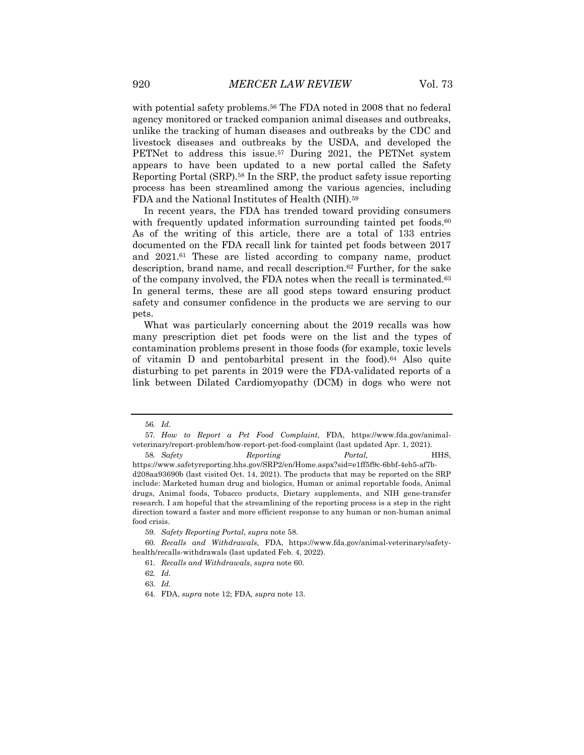with potential safety problems.<sup>56</sup> The FDA noted in 2008 that no federal agency monitored or tracked companion animal diseases and outbreaks, unlike the tracking of human diseases and outbreaks by the CDC and livestock diseases and outbreaks by the USDA, and developed the PETNet to address this issue.<sup>57</sup> During 2021, the PETNet system appears to have been updated to a new portal called the Safety Reporting Portal (SRP).58 In the SRP, the product safety issue reporting process has been streamlined among the various agencies, including FDA and the National Institutes of Health (NIH).59

In recent years, the FDA has trended toward providing consumers with frequently updated information surrounding tainted pet foods.<sup>60</sup> As of the writing of this article, there are a total of 133 entries documented on the FDA recall link for tainted pet foods between 2017 and 2021.61 These are listed according to company name, product description, brand name, and recall description.62 Further, for the sake of the company involved, the FDA notes when the recall is terminated.63 In general terms, these are all good steps toward ensuring product safety and consumer confidence in the products we are serving to our pets.

What was particularly concerning about the 2019 recalls was how many prescription diet pet foods were on the list and the types of contamination problems present in those foods (for example, toxic levels of vitamin D and pentobarbital present in the food).64 Also quite disturbing to pet parents in 2019 were the FDA-validated reports of a link between Dilated Cardiomyopathy (DCM) in dogs who were not

<sup>56</sup>*. Id.*

<sup>57</sup>*. How to Report a Pet Food Complaint*, FDA, https://www.fda.gov/animalveterinary/report-problem/how-report-pet-food-complaint (last updated Apr. 1, 2021).

<sup>58</sup>*. Safety Reporting Portal,* HHS, https://www.safetyreporting.hhs.gov/SRP2/en/Home.aspx?sid=e1ff5f9c-6bbf-4eb5-af7bd208aa93690b (last visited Oct. 14, 2021). The products that may be reported on the SRP include: Marketed human drug and biologics, Human or animal reportable foods, Animal drugs, Animal foods, Tobacco products, Dietary supplements, and NIH gene-transfer research. I am hopeful that the streamlining of the reporting process is a step in the right direction toward a faster and more efficient response to any human or non-human animal food crisis.

<sup>59</sup>*. Safety Reporting Portal*, *supra* note 58.

<sup>60</sup>*. Recalls and Withdrawals*, FDA, https://www.fda.gov/animal-veterinary/safetyhealth/recalls-withdrawals (last updated Feb. 4, 2022).

<sup>61</sup>*. Recalls and Withdrawals*, *supra* note 60.

<sup>62</sup>*. Id.*

<sup>63</sup>*. Id.*

<sup>64.</sup> FDA, *supra* note 12; FDA*, supra* note 13.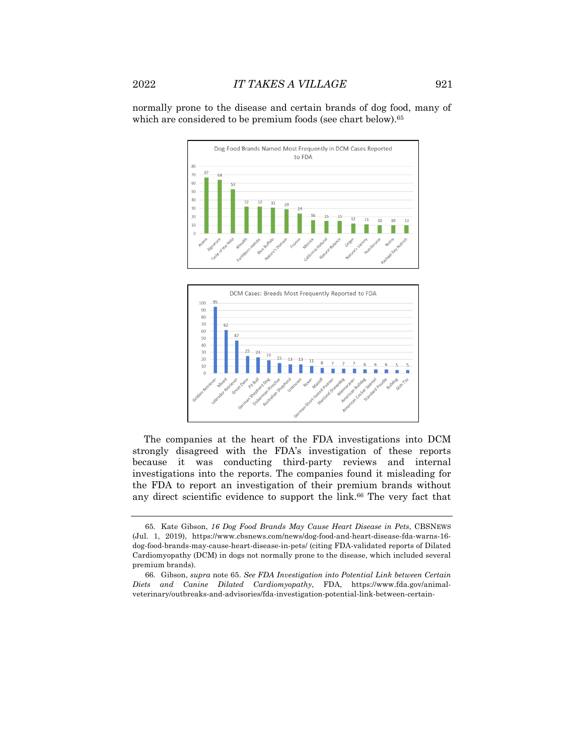normally prone to the disease and certain brands of dog food, many of which are considered to be premium foods (see chart below).<sup>65</sup>





The companies at the heart of the FDA investigations into DCM strongly disagreed with the FDA's investigation of these reports because it was conducting third-party reviews and internal investigations into the reports. The companies found it misleading for the FDA to report an investigation of their premium brands without any direct scientific evidence to support the link.66 The very fact that

<sup>65.</sup> Kate Gibson, *16 Dog Food Brands May Cause Heart Disease in Pets*, CBSNEWS (Jul. 1, 2019), https://www.cbsnews.com/news/dog-food-and-heart-disease-fda-warns-16 dog-food-brands-may-cause-heart-disease-in-pets/ (citing FDA-validated reports of Dilated Cardiomyopathy (DCM) in dogs not normally prone to the disease, which included several premium brands).

<sup>66.</sup> Gibson, *supra* note 65. *See FDA Investigation into Potential Link between Certain Diets and Canine Dilated Cardiomyopathy*, FDA, https://www.fda.gov/animalveterinary/outbreaks-and-advisories/fda-investigation-potential-link-between-certain-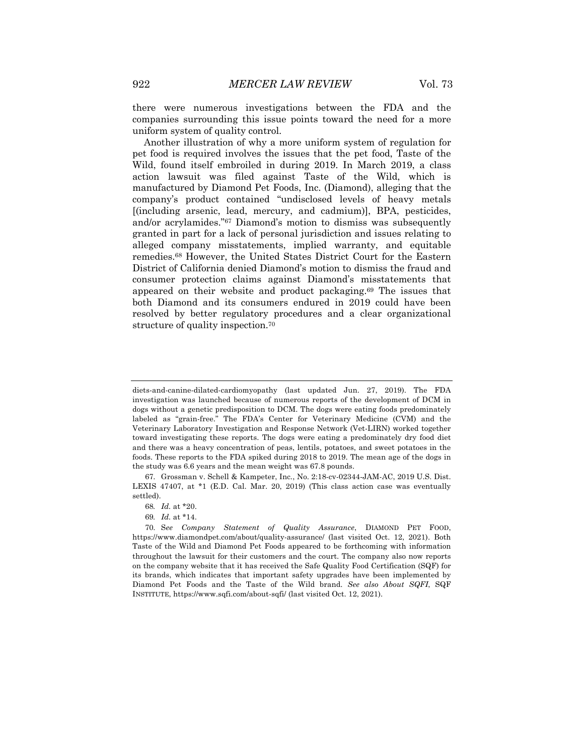there were numerous investigations between the FDA and the companies surrounding this issue points toward the need for a more uniform system of quality control.

Another illustration of why a more uniform system of regulation for pet food is required involves the issues that the pet food, Taste of the Wild, found itself embroiled in during 2019. In March 2019, a class action lawsuit was filed against Taste of the Wild, which is manufactured by Diamond Pet Foods, Inc. (Diamond), alleging that the company's product contained "undisclosed levels of heavy metals [(including arsenic, lead, mercury, and cadmium)], BPA, pesticides, and/or acrylamides."67 Diamond's motion to dismiss was subsequently granted in part for a lack of personal jurisdiction and issues relating to alleged company misstatements, implied warranty, and equitable remedies.68 However, the United States District Court for the Eastern District of California denied Diamond's motion to dismiss the fraud and consumer protection claims against Diamond's misstatements that appeared on their website and product packaging.69 The issues that both Diamond and its consumers endured in 2019 could have been resolved by better regulatory procedures and a clear organizational structure of quality inspection.70

69*. Id.* at \*14.

diets-and-canine-dilated-cardiomyopathy (last updated Jun. 27, 2019). The FDA investigation was launched because of numerous reports of the development of DCM in dogs without a genetic predisposition to DCM. The dogs were eating foods predominately labeled as "grain-free." The FDA's Center for Veterinary Medicine (CVM) and the Veterinary Laboratory Investigation and Response Network (Vet-LIRN) worked together toward investigating these reports. The dogs were eating a predominately dry food diet and there was a heavy concentration of peas, lentils, potatoes, and sweet potatoes in the foods. These reports to the FDA spiked during 2018 to 2019. The mean age of the dogs in the study was 6.6 years and the mean weight was 67.8 pounds.

<sup>67.</sup> Grossman v. Schell & Kampeter, Inc*.*, No. 2:18-cv-02344-JAM-AC, 2019 U.S. Dist. LEXIS 47407, at \*1 (E.D. Cal. Mar. 20, 2019) (This class action case was eventually settled).

<sup>68</sup>*. Id.* at \*20.

<sup>70.</sup> S*ee Company Statement of Quality Assurance*, DIAMOND PET FOOD, https://www.diamondpet.com/about/quality-assurance/ (last visited Oct. 12, 2021). Both Taste of the Wild and Diamond Pet Foods appeared to be forthcoming with information throughout the lawsuit for their customers and the court. The company also now reports on the company website that it has received the Safe Quality Food Certification (SQF) for its brands, which indicates that important safety upgrades have been implemented by Diamond Pet Foods and the Taste of the Wild brand. *See also About SQFI*, SQF INSTITUTE, https://www.sqfi.com/about-sqfi/ (last visited Oct. 12, 2021).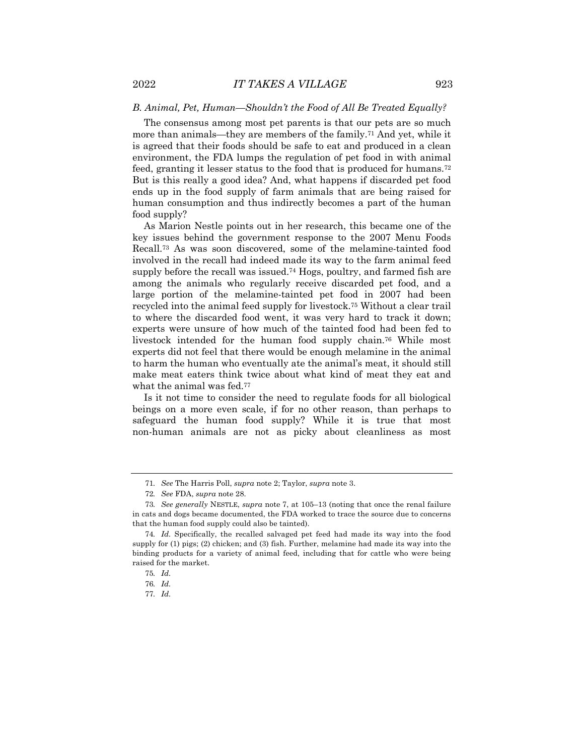#### *B. Animal, Pet, Human—Shouldn't the Food of All Be Treated Equally?*

The consensus among most pet parents is that our pets are so much more than animals—they are members of the family.71 And yet, while it is agreed that their foods should be safe to eat and produced in a clean environment, the FDA lumps the regulation of pet food in with animal feed, granting it lesser status to the food that is produced for humans.72 But is this really a good idea? And, what happens if discarded pet food ends up in the food supply of farm animals that are being raised for human consumption and thus indirectly becomes a part of the human food supply?

As Marion Nestle points out in her research, this became one of the key issues behind the government response to the 2007 Menu Foods Recall.73 As was soon discovered, some of the melamine-tainted food involved in the recall had indeed made its way to the farm animal feed supply before the recall was issued.74 Hogs, poultry, and farmed fish are among the animals who regularly receive discarded pet food, and a large portion of the melamine-tainted pet food in 2007 had been recycled into the animal feed supply for livestock.75 Without a clear trail to where the discarded food went, it was very hard to track it down; experts were unsure of how much of the tainted food had been fed to livestock intended for the human food supply chain.76 While most experts did not feel that there would be enough melamine in the animal to harm the human who eventually ate the animal's meat, it should still make meat eaters think twice about what kind of meat they eat and what the animal was fed.<sup>77</sup>

Is it not time to consider the need to regulate foods for all biological beings on a more even scale, if for no other reason, than perhaps to safeguard the human food supply? While it is true that most non-human animals are not as picky about cleanliness as most

<sup>71</sup>*. See* The Harris Poll, *supra* note 2; Taylor, *supra* note 3.

<sup>72</sup>*. See* FDA, *supra* note 28.

<sup>73</sup>*. See generally* NESTLE, *supra* note 7, at 105–13 (noting that once the renal failure in cats and dogs became documented, the FDA worked to trace the source due to concerns that the human food supply could also be tainted).

<sup>74</sup>*. Id.* Specifically, the recalled salvaged pet feed had made its way into the food supply for (1) pigs; (2) chicken; and (3) fish. Further, melamine had made its way into the binding products for a variety of animal feed, including that for cattle who were being raised for the market.

<sup>75</sup>*. Id.*

<sup>76</sup>*. Id.*

<sup>77</sup>*. Id.*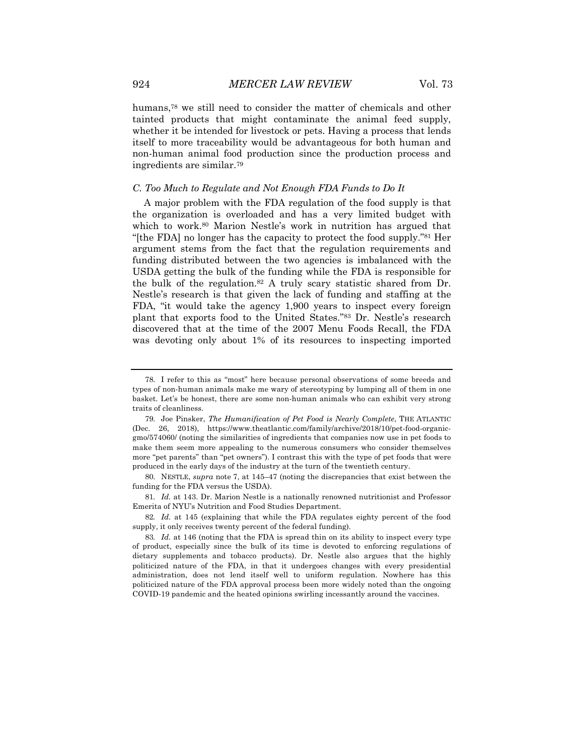humans,78 we still need to consider the matter of chemicals and other tainted products that might contaminate the animal feed supply, whether it be intended for livestock or pets. Having a process that lends itself to more traceability would be advantageous for both human and non-human animal food production since the production process and ingredients are similar.79

#### *C. Too Much to Regulate and Not Enough FDA Funds to Do It*

A major problem with the FDA regulation of the food supply is that the organization is overloaded and has a very limited budget with which to work.<sup>80</sup> Marion Nestle's work in nutrition has argued that "[the FDA] no longer has the capacity to protect the food supply."81 Her argument stems from the fact that the regulation requirements and funding distributed between the two agencies is imbalanced with the USDA getting the bulk of the funding while the FDA is responsible for the bulk of the regulation.82 A truly scary statistic shared from Dr. Nestle's research is that given the lack of funding and staffing at the FDA, "it would take the agency 1,900 years to inspect every foreign plant that exports food to the United States."83 Dr. Nestle's research discovered that at the time of the 2007 Menu Foods Recall, the FDA was devoting only about 1% of its resources to inspecting imported

<sup>78.</sup> I refer to this as "most" here because personal observations of some breeds and types of non-human animals make me wary of stereotyping by lumping all of them in one basket. Let's be honest, there are some non-human animals who can exhibit very strong traits of cleanliness.

<sup>79.</sup> Joe Pinsker, *The Humanification of Pet Food is Nearly Complete*, THE ATLANTIC (Dec. 26, 2018), https://www.theatlantic.com/family/archive/2018/10/pet-food-organicgmo/574060/ (noting the similarities of ingredients that companies now use in pet foods to make them seem more appealing to the numerous consumers who consider themselves more "pet parents" than "pet owners"). I contrast this with the type of pet foods that were produced in the early days of the industry at the turn of the twentieth century.

<sup>80.</sup> NESTLE, *supra* note 7, at 145–47 (noting the discrepancies that exist between the funding for the FDA versus the USDA).

<sup>81</sup>*. Id.* at 143. Dr. Marion Nestle is a nationally renowned nutritionist and Professor Emerita of NYU's Nutrition and Food Studies Department.

<sup>82</sup>*. Id.* at 145 (explaining that while the FDA regulates eighty percent of the food supply, it only receives twenty percent of the federal funding).

<sup>83</sup>*. Id.* at 146 (noting that the FDA is spread thin on its ability to inspect every type of product, especially since the bulk of its time is devoted to enforcing regulations of dietary supplements and tobacco products). Dr. Nestle also argues that the highly politicized nature of the FDA, in that it undergoes changes with every presidential administration, does not lend itself well to uniform regulation. Nowhere has this politicized nature of the FDA approval process been more widely noted than the ongoing COVID-19 pandemic and the heated opinions swirling incessantly around the vaccines.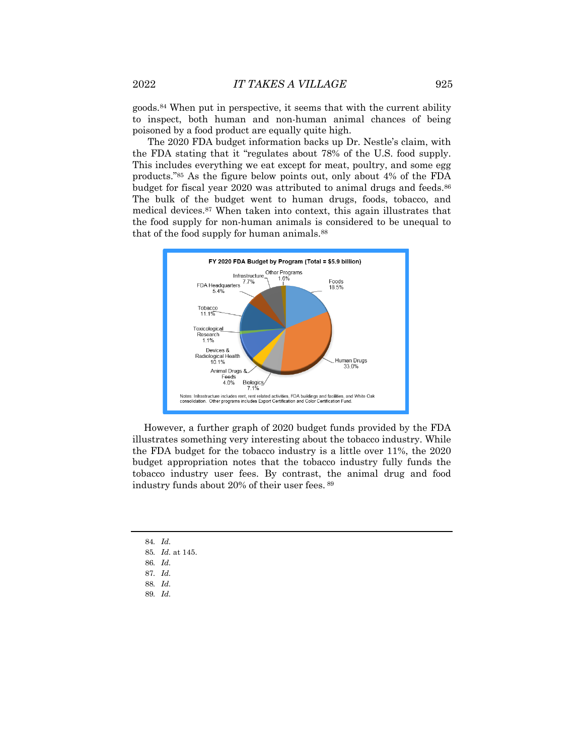goods.84 When put in perspective, it seems that with the current ability to inspect, both human and non-human animal chances of being poisoned by a food product are equally quite high.

The 2020 FDA budget information backs up Dr. Nestle's claim, with the FDA stating that it "regulates about 78% of the U.S. food supply. This includes everything we eat except for meat, poultry, and some egg products."85 As the figure below points out, only about 4% of the FDA budget for fiscal year 2020 was attributed to animal drugs and feeds.<sup>86</sup> The bulk of the budget went to human drugs, foods, tobacco, and medical devices.87 When taken into context, this again illustrates that the food supply for non-human animals is considered to be unequal to that of the food supply for human animals.88



However, a further graph of 2020 budget funds provided by the FDA illustrates something very interesting about the tobacco industry. While the FDA budget for the tobacco industry is a little over 11%, the 2020 budget appropriation notes that the tobacco industry fully funds the tobacco industry user fees. By contrast, the animal drug and food industry funds about 20% of their user fees. <sup>89</sup>

- 84*. Id.* 85*. Id.* at 145. 86*. Id.*
- 87*. Id.*
- 88*. Id.*
- 89*. Id.*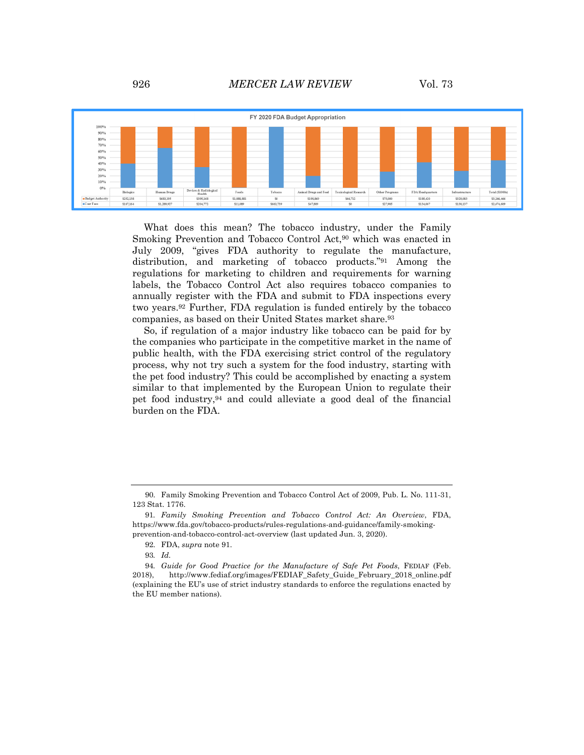

What does this mean? The tobacco industry, under the Family Smoking Prevention and Tobacco Control Act,<sup>90</sup> which was enacted in July 2009, "gives FDA authority to regulate the manufacture, distribution, and marketing of tobacco products."91 Among the regulations for marketing to children and requirements for warning labels, the Tobacco Control Act also requires tobacco companies to annually register with the FDA and submit to FDA inspections every two years.92 Further, FDA regulation is funded entirely by the tobacco companies, as based on their United States market share.<sup>93</sup>

So, if regulation of a major industry like tobacco can be paid for by the companies who participate in the competitive market in the name of public health, with the FDA exercising strict control of the regulatory process, why not try such a system for the food industry, starting with the pet food industry? This could be accomplished by enacting a system similar to that implemented by the European Union to regulate their pet food industry,94 and could alleviate a good deal of the financial burden on the FDA.

<sup>90.</sup> Family Smoking Prevention and Tobacco Control Act of 2009, Pub. L. No. 111-31, 123 Stat. 1776.

<sup>91</sup>*. Family Smoking Prevention and Tobacco Control Act: An Overview*, FDA, https://www.fda.gov/tobacco-products/rules-regulations-and-guidance/family-smokingprevention-and-tobacco-control-act-overview (last updated Jun. 3, 2020).

<sup>92.</sup> FDA, *supra* note 91.

<sup>93</sup>*. Id.*

<sup>94</sup>*. Guide for Good Practice for the Manufacture of Safe Pet Foods*, FEDIAF (Feb. 2018), http://www.fediaf.org/images/FEDIAF\_Safety\_Guide\_February\_2018\_online.pdf (explaining the EU's use of strict industry standards to enforce the regulations enacted by the EU member nations).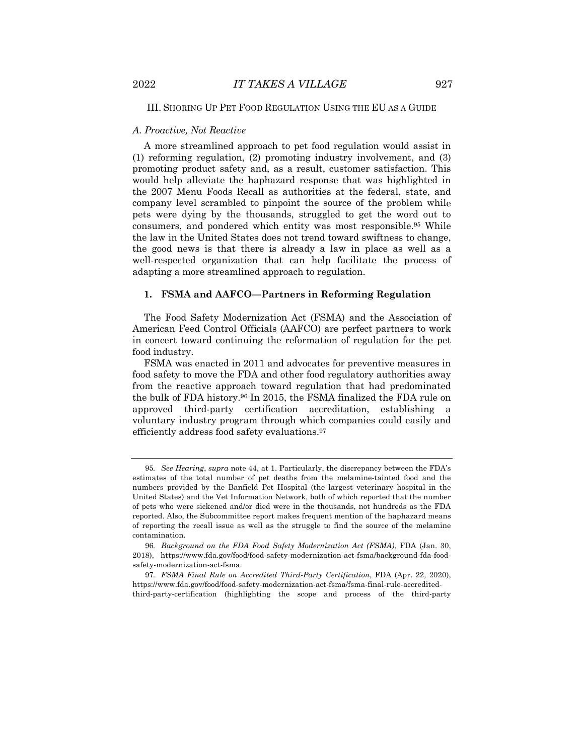# III. SHORING UP PET FOOD REGULATION USING THE EU AS A GUIDE

#### *A. Proactive, Not Reactive*

A more streamlined approach to pet food regulation would assist in (1) reforming regulation, (2) promoting industry involvement, and (3) promoting product safety and, as a result, customer satisfaction. This would help alleviate the haphazard response that was highlighted in the 2007 Menu Foods Recall as authorities at the federal, state, and company level scrambled to pinpoint the source of the problem while pets were dying by the thousands, struggled to get the word out to consumers, and pondered which entity was most responsible.95 While the law in the United States does not trend toward swiftness to change, the good news is that there is already a law in place as well as a well-respected organization that can help facilitate the process of adapting a more streamlined approach to regulation.

#### **1. FSMA and AAFCO—Partners in Reforming Regulation**

The Food Safety Modernization Act (FSMA) and the Association of American Feed Control Officials (AAFCO) are perfect partners to work in concert toward continuing the reformation of regulation for the pet food industry.

FSMA was enacted in 2011 and advocates for preventive measures in food safety to move the FDA and other food regulatory authorities away from the reactive approach toward regulation that had predominated the bulk of FDA history.96 In 2015, the FSMA finalized the FDA rule on approved third-party certification accreditation, establishing a voluntary industry program through which companies could easily and efficiently address food safety evaluations.97

<sup>95</sup>*. See Hearing*, *supra* note 44, at 1. Particularly, the discrepancy between the FDA's estimates of the total number of pet deaths from the melamine-tainted food and the numbers provided by the Banfield Pet Hospital (the largest veterinary hospital in the United States) and the Vet Information Network, both of which reported that the number of pets who were sickened and/or died were in the thousands, not hundreds as the FDA reported. Also, the Subcommittee report makes frequent mention of the haphazard means of reporting the recall issue as well as the struggle to find the source of the melamine contamination.

<sup>96</sup>*. Background on the FDA Food Safety Modernization Act (FSMA)*, FDA (Jan. 30, 2018), https://www.fda.gov/food/food-safety-modernization-act-fsma/background-fda-foodsafety-modernization-act-fsma.

<sup>97</sup>*. FSMA Final Rule on Accredited Third-Party Certification*, FDA (Apr. 22, 2020), https://www.fda.gov/food/food-safety-modernization-act-fsma/fsma-final-rule-accreditedthird-party-certification (highlighting the scope and process of the third-party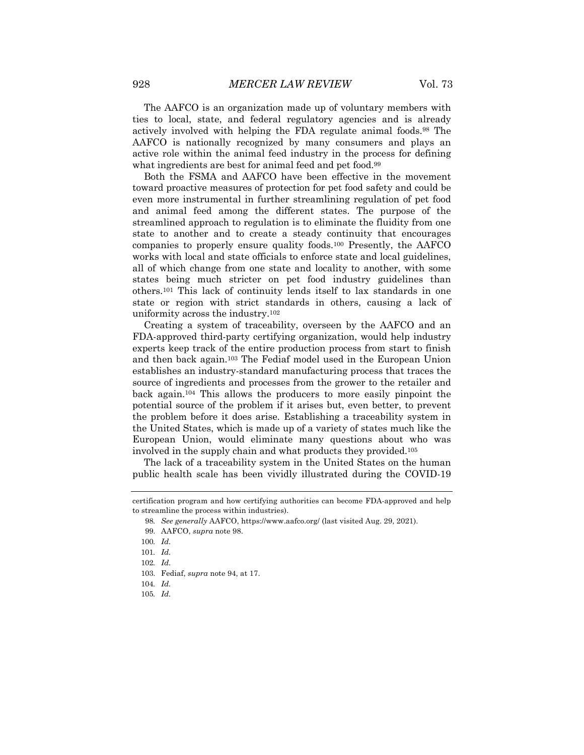The AAFCO is an organization made up of voluntary members with ties to local, state, and federal regulatory agencies and is already actively involved with helping the FDA regulate animal foods.98 The AAFCO is nationally recognized by many consumers and plays an active role within the animal feed industry in the process for defining what ingredients are best for animal feed and pet food.<sup>99</sup>

Both the FSMA and AAFCO have been effective in the movement toward proactive measures of protection for pet food safety and could be even more instrumental in further streamlining regulation of pet food and animal feed among the different states. The purpose of the streamlined approach to regulation is to eliminate the fluidity from one state to another and to create a steady continuity that encourages companies to properly ensure quality foods.100 Presently, the AAFCO works with local and state officials to enforce state and local guidelines, all of which change from one state and locality to another, with some states being much stricter on pet food industry guidelines than others.101 This lack of continuity lends itself to lax standards in one state or region with strict standards in others, causing a lack of uniformity across the industry.102

Creating a system of traceability, overseen by the AAFCO and an FDA-approved third-party certifying organization, would help industry experts keep track of the entire production process from start to finish and then back again.103 The Fediaf model used in the European Union establishes an industry-standard manufacturing process that traces the source of ingredients and processes from the grower to the retailer and back again.104 This allows the producers to more easily pinpoint the potential source of the problem if it arises but, even better, to prevent the problem before it does arise. Establishing a traceability system in the United States, which is made up of a variety of states much like the European Union, would eliminate many questions about who was involved in the supply chain and what products they provided.105

The lack of a traceability system in the United States on the human public health scale has been vividly illustrated during the COVID-19

certification program and how certifying authorities can become FDA-approved and help to streamline the process within industries).

<sup>98</sup>*. See generally* AAFCO, https://www.aafco.org/ (last visited Aug. 29, 2021).

<sup>99.</sup> AAFCO, *supra* note 98.

<sup>100</sup>*. Id.*

<sup>101</sup>*. Id.*

<sup>102</sup>*. Id.*

<sup>103.</sup> Fediaf, *supra* note 94, at 17.

<sup>104</sup>*. Id.*

<sup>105</sup>*. Id.*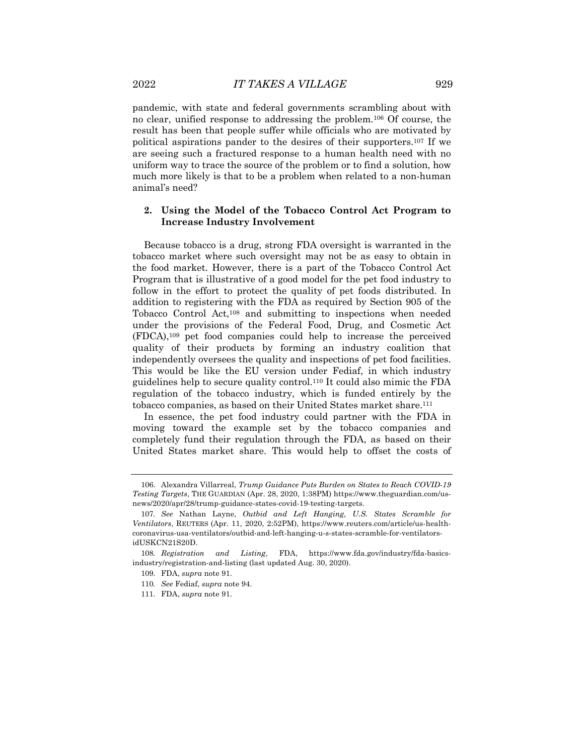pandemic, with state and federal governments scrambling about with no clear, unified response to addressing the problem.106 Of course, the result has been that people suffer while officials who are motivated by political aspirations pander to the desires of their supporters.107 If we are seeing such a fractured response to a human health need with no uniform way to trace the source of the problem or to find a solution, how much more likely is that to be a problem when related to a non-human animal's need?

# **2. Using the Model of the Tobacco Control Act Program to Increase Industry Involvement**

Because tobacco is a drug, strong FDA oversight is warranted in the tobacco market where such oversight may not be as easy to obtain in the food market. However, there is a part of the Tobacco Control Act Program that is illustrative of a good model for the pet food industry to follow in the effort to protect the quality of pet foods distributed. In addition to registering with the FDA as required by Section 905 of the Tobacco Control Act,108 and submitting to inspections when needed under the provisions of the Federal Food, Drug, and Cosmetic Act (FDCA),109 pet food companies could help to increase the perceived quality of their products by forming an industry coalition that independently oversees the quality and inspections of pet food facilities. This would be like the EU version under Fediaf, in which industry guidelines help to secure quality control.110 It could also mimic the FDA regulation of the tobacco industry, which is funded entirely by the tobacco companies, as based on their United States market share.111

In essence, the pet food industry could partner with the FDA in moving toward the example set by the tobacco companies and completely fund their regulation through the FDA, as based on their United States market share. This would help to offset the costs of

<sup>106.</sup> Alexandra Villarreal, *Trump Guidance Puts Burden on States to Reach COVID-19 Testing Targets*, THE GUARDIAN (Apr. 28, 2020, 1:38PM) https://www.theguardian.com/usnews/2020/apr/28/trump-guidance-states-covid-19-testing-targets.

<sup>107</sup>*. See* Nathan Layne, *Outbid and Left Hanging, U.S. States Scramble for Ventilators*, REUTERS (Apr. 11, 2020, 2:52PM), https://www.reuters.com/article/us-healthcoronavirus-usa-ventilators/outbid-and-left-hanging-u-s-states-scramble-for-ventilatorsidUSKCN21S20D.

<sup>108</sup>*. Registration and Listing*, FDA, https://www.fda.gov/industry/fda-basicsindustry/registration-and-listing (last updated Aug. 30, 2020).

<sup>109.</sup> FDA, *supra* note 91.

<sup>110</sup>*. See* Fediaf, *supra* note 94.

<sup>111.</sup> FDA, *supra* note 91.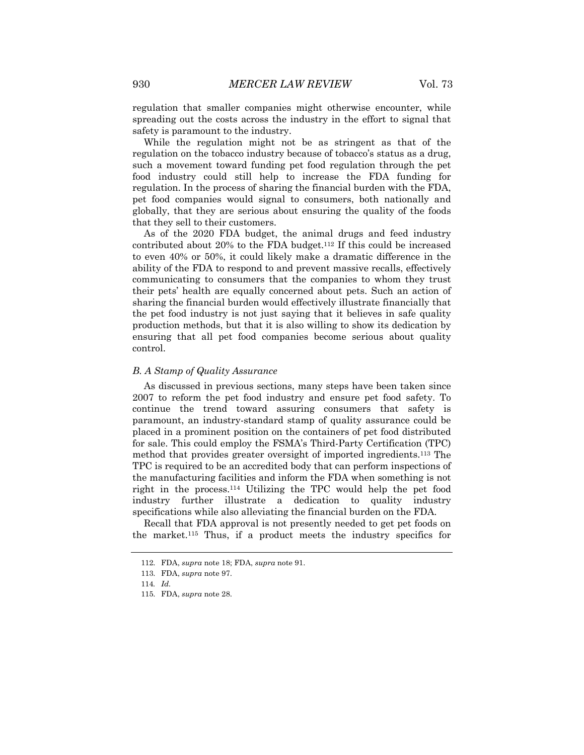regulation that smaller companies might otherwise encounter, while spreading out the costs across the industry in the effort to signal that safety is paramount to the industry.

While the regulation might not be as stringent as that of the regulation on the tobacco industry because of tobacco's status as a drug, such a movement toward funding pet food regulation through the pet food industry could still help to increase the FDA funding for regulation. In the process of sharing the financial burden with the FDA, pet food companies would signal to consumers, both nationally and globally, that they are serious about ensuring the quality of the foods that they sell to their customers.

As of the 2020 FDA budget, the animal drugs and feed industry contributed about 20% to the FDA budget.112 If this could be increased to even 40% or 50%, it could likely make a dramatic difference in the ability of the FDA to respond to and prevent massive recalls, effectively communicating to consumers that the companies to whom they trust their pets' health are equally concerned about pets. Such an action of sharing the financial burden would effectively illustrate financially that the pet food industry is not just saying that it believes in safe quality production methods, but that it is also willing to show its dedication by ensuring that all pet food companies become serious about quality control.

#### *B. A Stamp of Quality Assurance*

As discussed in previous sections, many steps have been taken since 2007 to reform the pet food industry and ensure pet food safety. To continue the trend toward assuring consumers that safety is paramount, an industry-standard stamp of quality assurance could be placed in a prominent position on the containers of pet food distributed for sale. This could employ the FSMA's Third-Party Certification (TPC) method that provides greater oversight of imported ingredients.113 The TPC is required to be an accredited body that can perform inspections of the manufacturing facilities and inform the FDA when something is not right in the process.114 Utilizing the TPC would help the pet food industry further illustrate a dedication to quality industry specifications while also alleviating the financial burden on the FDA.

Recall that FDA approval is not presently needed to get pet foods on the market.115 Thus, if a product meets the industry specifics for

<sup>112.</sup> FDA, *supra* note 18; FDA, *supra* note 91.

<sup>113.</sup> FDA, *supra* note 97.

<sup>114</sup>*. Id.*

<sup>115.</sup> FDA, *supra* note 28.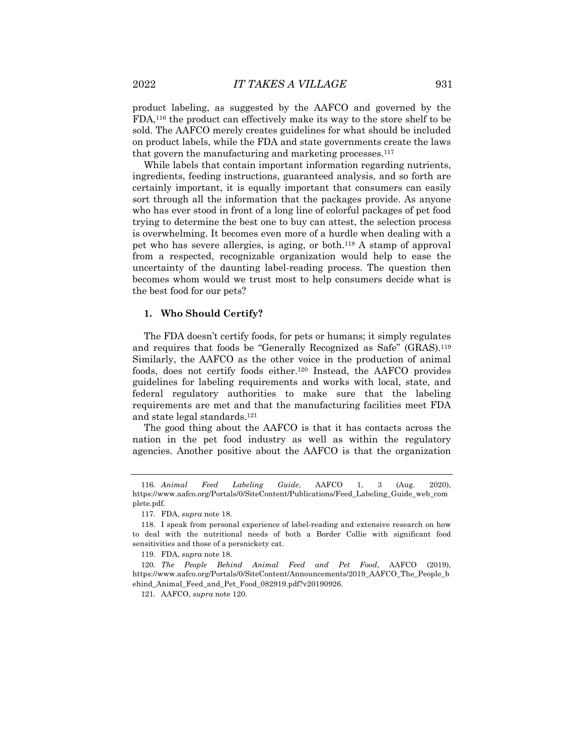product labeling, as suggested by the AAFCO and governed by the FDA,116 the product can effectively make its way to the store shelf to be sold. The AAFCO merely creates guidelines for what should be included on product labels, while the FDA and state governments create the laws that govern the manufacturing and marketing processes.117

While labels that contain important information regarding nutrients, ingredients, feeding instructions, guaranteed analysis, and so forth are certainly important, it is equally important that consumers can easily sort through all the information that the packages provide. As anyone who has ever stood in front of a long line of colorful packages of pet food trying to determine the best one to buy can attest, the selection process is overwhelming. It becomes even more of a hurdle when dealing with a pet who has severe allergies, is aging, or both.118 A stamp of approval from a respected, recognizable organization would help to ease the uncertainty of the daunting label-reading process. The question then becomes whom would we trust most to help consumers decide what is the best food for our pets?

# **1. Who Should Certify?**

The FDA doesn't certify foods, for pets or humans; it simply regulates and requires that foods be "Generally Recognized as Safe" (GRAS).119 Similarly, the AAFCO as the other voice in the production of animal foods, does not certify foods either.120 Instead, the AAFCO provides guidelines for labeling requirements and works with local, state, and federal regulatory authorities to make sure that the labeling requirements are met and that the manufacturing facilities meet FDA and state legal standards.121

The good thing about the AAFCO is that it has contacts across the nation in the pet food industry as well as within the regulatory agencies. Another positive about the AAFCO is that the organization

<sup>116</sup>*. Animal Feed Labeling Guide*, AAFCO 1, 3 (Aug. 2020), https://www.aafco.org/Portals/0/SiteContent/Publications/Feed\_Labeling\_Guide\_web\_com plete.pdf.

<sup>117.</sup> FDA, *supra* note 18.

<sup>118.</sup> I speak from personal experience of label-reading and extensive research on how to deal with the nutritional needs of both a Border Collie with significant food sensitivities and those of a persnickety cat.

<sup>119.</sup> FDA, *supra* note 18.

<sup>120</sup>*. The People Behind Animal Feed and Pet Food*, AAFCO (2019), https://www.aafco.org/Portals/0/SiteContent/Announcements/2019\_AAFCO\_The\_People\_b ehind\_Animal\_Feed\_and\_Pet\_Food\_082919.pdf?v20190926.

<sup>121.</sup> AAFCO, *supra* note 120.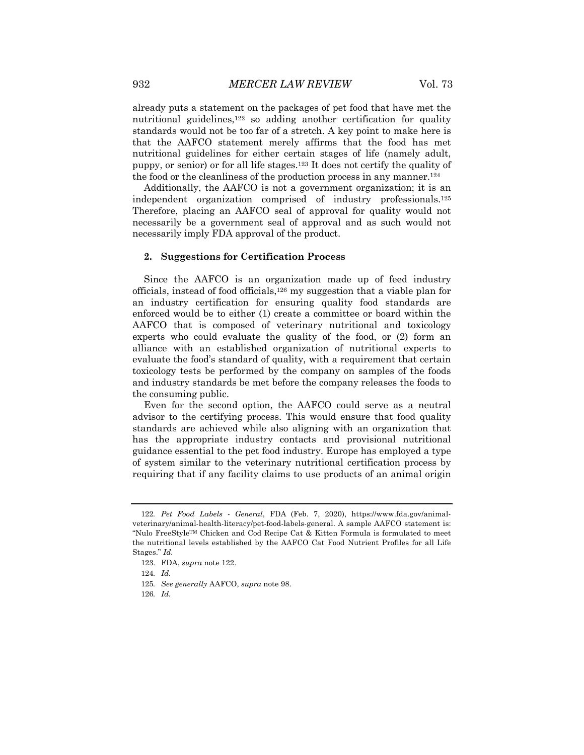already puts a statement on the packages of pet food that have met the nutritional guidelines,<sup>122</sup> so adding another certification for quality standards would not be too far of a stretch. A key point to make here is that the AAFCO statement merely affirms that the food has met nutritional guidelines for either certain stages of life (namely adult, puppy, or senior) or for all life stages.123 It does not certify the quality of the food or the cleanliness of the production process in any manner.124

Additionally, the AAFCO is not a government organization; it is an independent organization comprised of industry professionals.125 Therefore, placing an AAFCO seal of approval for quality would not necessarily be a government seal of approval and as such would not necessarily imply FDA approval of the product.

# **2. Suggestions for Certification Process**

Since the AAFCO is an organization made up of feed industry officials, instead of food officials,126 my suggestion that a viable plan for an industry certification for ensuring quality food standards are enforced would be to either (1) create a committee or board within the AAFCO that is composed of veterinary nutritional and toxicology experts who could evaluate the quality of the food, or (2) form an alliance with an established organization of nutritional experts to evaluate the food's standard of quality, with a requirement that certain toxicology tests be performed by the company on samples of the foods and industry standards be met before the company releases the foods to the consuming public.

Even for the second option, the AAFCO could serve as a neutral advisor to the certifying process. This would ensure that food quality standards are achieved while also aligning with an organization that has the appropriate industry contacts and provisional nutritional guidance essential to the pet food industry. Europe has employed a type of system similar to the veterinary nutritional certification process by requiring that if any facility claims to use products of an animal origin

<sup>122</sup>*. Pet Food Labels - General*, FDA (Feb. 7, 2020), https://www.fda.gov/animalveterinary/animal-health-literacy/pet-food-labels-general. A sample AAFCO statement is: "Nulo FreeStyleTM Chicken and Cod Recipe Cat & Kitten Formula is formulated to meet the nutritional levels established by the AAFCO Cat Food Nutrient Profiles for all Life Stages." *Id.*

<sup>123.</sup> FDA, *supra* note 122.

<sup>124</sup>*. Id.*

<sup>125</sup>*. See generally* AAFCO, *supra* note 98.

<sup>126</sup>*. Id.*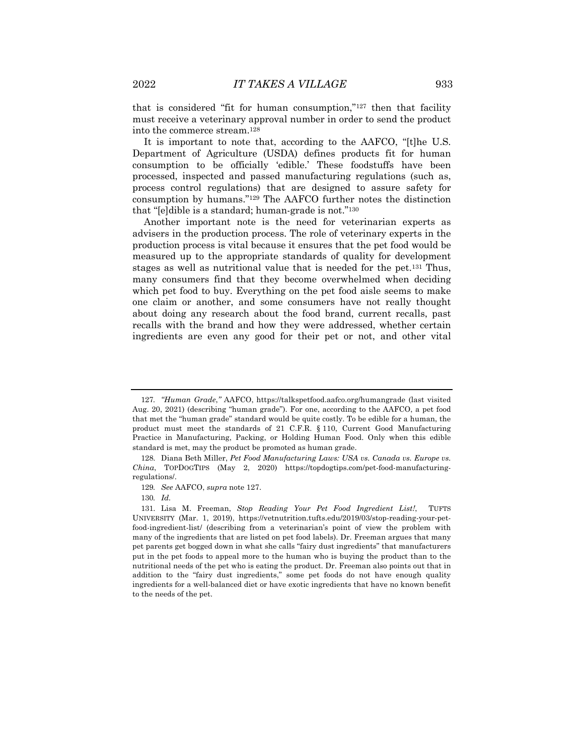that is considered "fit for human consumption," $127$  then that facility must receive a veterinary approval number in order to send the product into the commerce stream.128

It is important to note that, according to the AAFCO, "[t]he U.S. Department of Agriculture (USDA) defines products fit for human consumption to be officially 'edible.' These foodstuffs have been processed, inspected and passed manufacturing regulations (such as, process control regulations) that are designed to assure safety for consumption by humans."129 The AAFCO further notes the distinction that "[e]dible is a standard; human-grade is not."130

Another important note is the need for veterinarian experts as advisers in the production process. The role of veterinary experts in the production process is vital because it ensures that the pet food would be measured up to the appropriate standards of quality for development stages as well as nutritional value that is needed for the pet.131 Thus, many consumers find that they become overwhelmed when deciding which pet food to buy. Everything on the pet food aisle seems to make one claim or another, and some consumers have not really thought about doing any research about the food brand, current recalls, past recalls with the brand and how they were addressed, whether certain ingredients are even any good for their pet or not, and other vital

<sup>127</sup>*. "Human Grade*,*"* AAFCO, https://talkspetfood.aafco.org/humangrade (last visited Aug. 20, 2021) (describing "human grade"). For one, according to the AAFCO, a pet food that met the "human grade" standard would be quite costly. To be edible for a human, the product must meet the standards of 21 C.F.R. § 110, Current Good Manufacturing Practice in Manufacturing, Packing, or Holding Human Food. Only when this edible standard is met, may the product be promoted as human grade.

<sup>128.</sup> Diana Beth Miller, *Pet Food Manufacturing Laws: USA vs. Canada vs. Europe vs. China*, TOPDOGTIPS (May 2, 2020) https://topdogtips.com/pet-food-manufacturingregulations/.

<sup>129</sup>*. See* AAFCO, *supra* note 127.

<sup>130</sup>*. Id.*

<sup>131.</sup> Lisa M. Freeman, *Stop Reading Your Pet Food Ingredient List!*, TUFTS UNIVERSITY (Mar. 1, 2019), https://vetnutrition.tufts.edu/2019/03/stop-reading-your-petfood-ingredient-list/ (describing from a veterinarian's point of view the problem with many of the ingredients that are listed on pet food labels). Dr. Freeman argues that many pet parents get bogged down in what she calls "fairy dust ingredients" that manufacturers put in the pet foods to appeal more to the human who is buying the product than to the nutritional needs of the pet who is eating the product. Dr. Freeman also points out that in addition to the "fairy dust ingredients," some pet foods do not have enough quality ingredients for a well-balanced diet or have exotic ingredients that have no known benefit to the needs of the pet.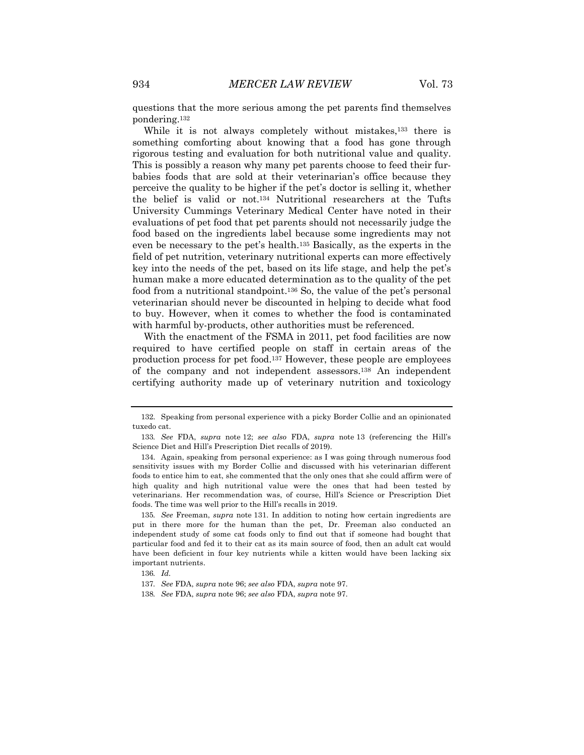questions that the more serious among the pet parents find themselves pondering.132

While it is not always completely without mistakes,<sup>133</sup> there is something comforting about knowing that a food has gone through rigorous testing and evaluation for both nutritional value and quality. This is possibly a reason why many pet parents choose to feed their furbabies foods that are sold at their veterinarian's office because they perceive the quality to be higher if the pet's doctor is selling it, whether the belief is valid or not.134 Nutritional researchers at the Tufts University Cummings Veterinary Medical Center have noted in their evaluations of pet food that pet parents should not necessarily judge the food based on the ingredients label because some ingredients may not even be necessary to the pet's health.135 Basically, as the experts in the field of pet nutrition, veterinary nutritional experts can more effectively key into the needs of the pet, based on its life stage, and help the pet's human make a more educated determination as to the quality of the pet food from a nutritional standpoint.136 So, the value of the pet's personal veterinarian should never be discounted in helping to decide what food to buy. However, when it comes to whether the food is contaminated with harmful by-products, other authorities must be referenced.

With the enactment of the FSMA in 2011, pet food facilities are now required to have certified people on staff in certain areas of the production process for pet food.137 However, these people are employees of the company and not independent assessors.138 An independent certifying authority made up of veterinary nutrition and toxicology

<sup>132.</sup> Speaking from personal experience with a picky Border Collie and an opinionated tuxedo cat.

<sup>133</sup>*. See* FDA, *supra* note 12; *see also* FDA, *supra* note 13 (referencing the Hill's Science Diet and Hill's Prescription Diet recalls of 2019).

<sup>134.</sup> Again, speaking from personal experience: as I was going through numerous food sensitivity issues with my Border Collie and discussed with his veterinarian different foods to entice him to eat, she commented that the only ones that she could affirm were of high quality and high nutritional value were the ones that had been tested by veterinarians. Her recommendation was, of course, Hill's Science or Prescription Diet foods. The time was well prior to the Hill's recalls in 2019.

<sup>135</sup>*. See* Freeman, *supra* note 131. In addition to noting how certain ingredients are put in there more for the human than the pet, Dr. Freeman also conducted an independent study of some cat foods only to find out that if someone had bought that particular food and fed it to their cat as its main source of food, then an adult cat would have been deficient in four key nutrients while a kitten would have been lacking six important nutrients.

<sup>136</sup>*. Id.*

<sup>137</sup>*. See* FDA, *supra* note 96; *see also* FDA, *supra* note 97.

<sup>138</sup>*. See* FDA, *supra* note 96; *see also* FDA, *supra* note 97.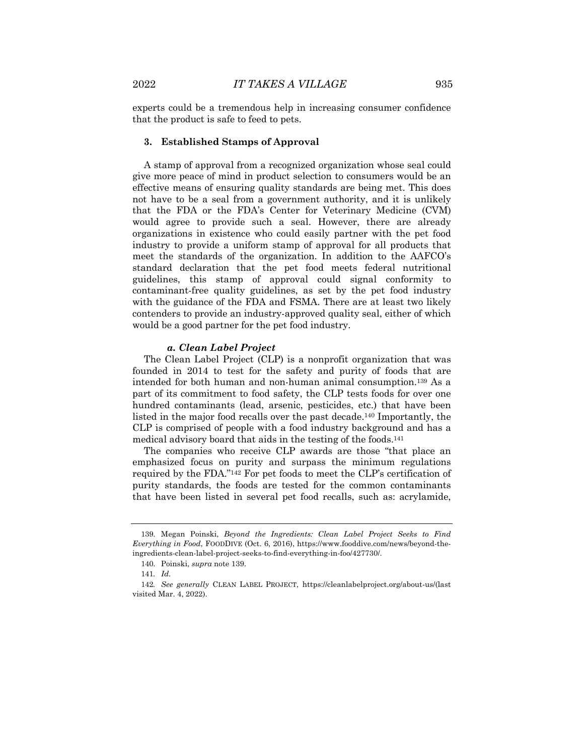experts could be a tremendous help in increasing consumer confidence that the product is safe to feed to pets.

#### **3. Established Stamps of Approval**

A stamp of approval from a recognized organization whose seal could give more peace of mind in product selection to consumers would be an effective means of ensuring quality standards are being met. This does not have to be a seal from a government authority, and it is unlikely that the FDA or the FDA's Center for Veterinary Medicine (CVM) would agree to provide such a seal. However, there are already organizations in existence who could easily partner with the pet food industry to provide a uniform stamp of approval for all products that meet the standards of the organization. In addition to the AAFCO's standard declaration that the pet food meets federal nutritional guidelines, this stamp of approval could signal conformity to contaminant-free quality guidelines, as set by the pet food industry with the guidance of the FDA and FSMA. There are at least two likely contenders to provide an industry-approved quality seal, either of which would be a good partner for the pet food industry.

#### *a. Clean Label Project*

The Clean Label Project (CLP) is a nonprofit organization that was founded in 2014 to test for the safety and purity of foods that are intended for both human and non-human animal consumption.139 As a part of its commitment to food safety, the CLP tests foods for over one hundred contaminants (lead, arsenic, pesticides, etc.) that have been listed in the major food recalls over the past decade.140 Importantly, the CLP is comprised of people with a food industry background and has a medical advisory board that aids in the testing of the foods.141

The companies who receive CLP awards are those "that place an emphasized focus on purity and surpass the minimum regulations required by the FDA."142 For pet foods to meet the CLP's certification of purity standards, the foods are tested for the common contaminants that have been listed in several pet food recalls, such as: acrylamide,

<sup>139.</sup> Megan Poinski, *Beyond the Ingredients: Clean Label Project Seeks to Find Everything in Food*, FOODDIVE (Oct. 6, 2016), https://www.fooddive.com/news/beyond-theingredients-clean-label-project-seeks-to-find-everything-in-foo/427730/.

<sup>140.</sup> Poinski, *supra* note 139.

<sup>141</sup>*. Id.*

<sup>142</sup>*. See generally* CLEAN LABEL PROJECT, https://cleanlabelproject.org/about-us/(last visited Mar. 4, 2022).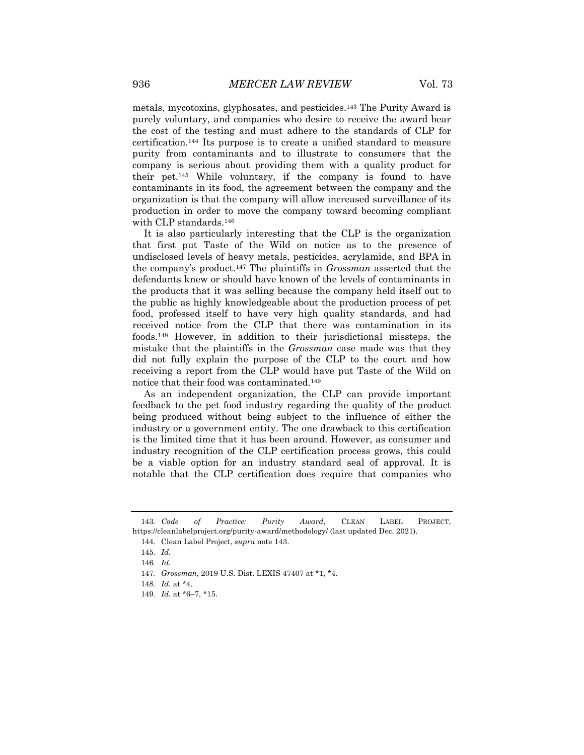metals, mycotoxins, glyphosates, and pesticides.143 The Purity Award is purely voluntary, and companies who desire to receive the award bear the cost of the testing and must adhere to the standards of CLP for certification.144 Its purpose is to create a unified standard to measure purity from contaminants and to illustrate to consumers that the company is serious about providing them with a quality product for their pet.145 While voluntary, if the company is found to have contaminants in its food, the agreement between the company and the organization is that the company will allow increased surveillance of its production in order to move the company toward becoming compliant with CLP standards.146

It is also particularly interesting that the CLP is the organization that first put Taste of the Wild on notice as to the presence of undisclosed levels of heavy metals, pesticides, acrylamide, and BPA in the company's product.147 The plaintiffs in *Grossman* asserted that the defendants knew or should have known of the levels of contaminants in the products that it was selling because the company held itself out to the public as highly knowledgeable about the production process of pet food, professed itself to have very high quality standards, and had received notice from the CLP that there was contamination in its foods.148 However, in addition to their jurisdictional missteps, the mistake that the plaintiffs in the *Grossman* case made was that they did not fully explain the purpose of the CLP to the court and how receiving a report from the CLP would have put Taste of the Wild on notice that their food was contaminated.149

As an independent organization, the CLP can provide important feedback to the pet food industry regarding the quality of the product being produced without being subject to the influence of either the industry or a government entity. The one drawback to this certification is the limited time that it has been around. However, as consumer and industry recognition of the CLP certification process grows, this could be a viable option for an industry standard seal of approval. It is notable that the CLP certification does require that companies who

<sup>143</sup>*. Code of Practice: Purity Award*, CLEAN LABEL PROJECT, https://cleanlabelproject.org/purity-award/methodology/ (last updated Dec. 2021).

<sup>144.</sup> Clean Label Project, *supra* note 143.

<sup>145</sup>*. Id.*

<sup>146</sup>*. Id.*

<sup>147</sup>*. Grossman*, 2019 U.S. Dist. LEXIS 47407 at \*1, \*4.

<sup>148</sup>*. Id.* at \*4.

<sup>149</sup>*. Id.* at \*6–7, \*15.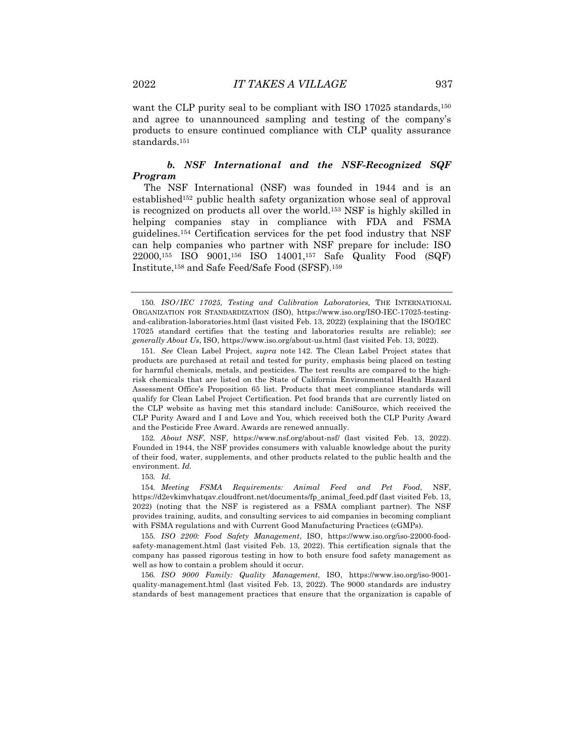want the CLP purity seal to be compliant with ISO 17025 standards,<sup>150</sup> and agree to unannounced sampling and testing of the company's products to ensure continued compliance with CLP quality assurance standards.151

# *b. NSF International and the NSF-Recognized SQF Program*

The NSF International (NSF) was founded in 1944 and is an established152 public health safety organization whose seal of approval is recognized on products all over the world.153 NSF is highly skilled in helping companies stay in compliance with FDA and FSMA guidelines.154 Certification services for the pet food industry that NSF can help companies who partner with NSF prepare for include: ISO 22000,155 ISO 9001,156 ISO 14001,157 Safe Quality Food (SQF) Institute,158 and Safe Feed/Safe Food (SFSF).159

152*. About NSF*, NSF, https://www.nsf.org/about-nsf/ (last visited Feb. 13, 2022). Founded in 1944, the NSF provides consumers with valuable knowledge about the purity of their food, water, supplements, and other products related to the public health and the environment. *Id.*

153*. Id.*

154*. Meeting FSMA Requirements: Animal Feed and Pet Food*, NSF, https://d2evkimvhatqav.cloudfront.net/documents/fp\_animal\_feed.pdf (last visited Feb. 13, 2022) (noting that the NSF is registered as a FSMA compliant partner). The NSF provides training, audits, and consulting services to aid companies in becoming compliant with FSMA regulations and with Current Good Manufacturing Practices (cGMPs).

155*. ISO 2200: Food Safety Management,* ISO, https://www.iso.org/iso-22000-foodsafety-management.html (last visited Feb. 13, 2022). This certification signals that the company has passed rigorous testing in how to both ensure food safety management as well as how to contain a problem should it occur.

156*. ISO 9000 Family: Quality Management*, ISO, https://www.iso.org/iso-9001 quality-management.html (last visited Feb. 13, 2022). The 9000 standards are industry standards of best management practices that ensure that the organization is capable of

<sup>150</sup>*. ISO/IEC 17025, Testing and Calibration Laboratories,* THE INTERNATIONAL ORGANIZATION FOR STANDARDIZATION (ISO), https://www.iso.org/ISO-IEC-17025-testingand-calibration-laboratories.html (last visited Feb. 13, 2022) (explaining that the ISO/IEC 17025 standard certifies that the testing and laboratories results are reliable); *see generally About Us*, ISO, https://www.iso.org/about-us.html (last visited Feb. 13, 2022).

<sup>151</sup>*. See* Clean Label Project, *supra* note 142. The Clean Label Project states that products are purchased at retail and tested for purity, emphasis being placed on testing for harmful chemicals, metals, and pesticides. The test results are compared to the highrisk chemicals that are listed on the State of California Environmental Health Hazard Assessment Office's Proposition 65 list. Products that meet compliance standards will qualify for Clean Label Project Certification. Pet food brands that are currently listed on the CLP website as having met this standard include: CaniSource, which received the CLP Purity Award and I and Love and You, which received both the CLP Purity Award and the Pesticide Free Award. Awards are renewed annually.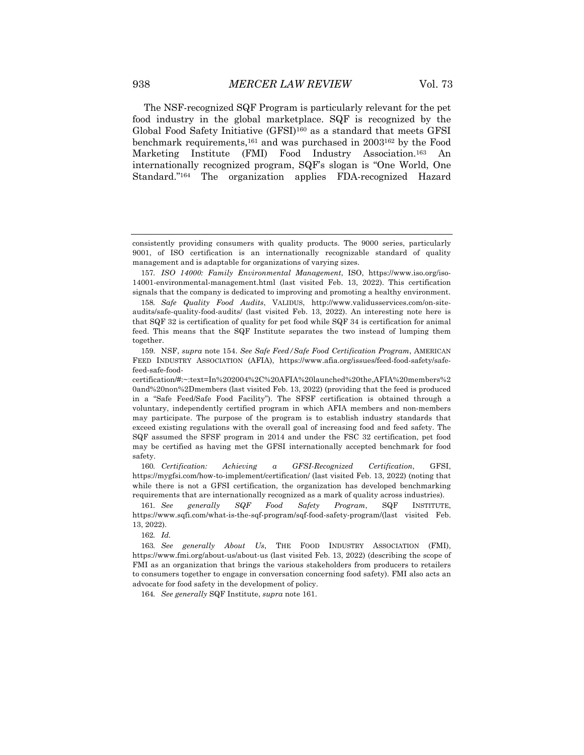The NSF-recognized SQF Program is particularly relevant for the pet food industry in the global marketplace. SQF is recognized by the Global Food Safety Initiative (GFSI)160 as a standard that meets GFSI benchmark requirements,161 and was purchased in 2003162 by the Food Marketing Institute (FMI) Food Industry Association.163 An internationally recognized program, SQF's slogan is "One World, One Standard."164 The organization applies FDA-recognized Hazard

160*. Certification: Achieving a GFSI-Recognized Certification*, GFSI, https://mygfsi.com/how-to-implement/certification/ (last visited Feb. 13, 2022) (noting that while there is not a GFSI certification, the organization has developed benchmarking requirements that are internationally recognized as a mark of quality across industries).

161*. See generally SQF Food Safety Program*, SQF INSTITUTE, https://www.sqfi.com/what-is-the-sqf-program/sqf-food-safety-program/(last visited Feb. 13, 2022).

162*. Id.*

163*. See generally About Us*, THE FOOD INDUSTRY ASSOCIATION (FMI), https://www.fmi.org/about-us/about-us (last visited Feb. 13, 2022) (describing the scope of FMI as an organization that brings the various stakeholders from producers to retailers to consumers together to engage in conversation concerning food safety). FMI also acts an advocate for food safety in the development of policy.

164*. See generally* SQF Institute, *supra* note 161.

consistently providing consumers with quality products. The 9000 series, particularly 9001, of ISO certification is an internationally recognizable standard of quality management and is adaptable for organizations of varying sizes.

<sup>157</sup>*. ISO 14000: Family Environmental Management*, ISO, https://www.iso.org/iso-14001-environmental-management.html (last visited Feb. 13, 2022). This certification signals that the company is dedicated to improving and promoting a healthy environment.

<sup>158</sup>*. Safe Quality Food Audits*, VALIDUS, http://www.validusservices.com/on-siteaudits/safe-quality-food-audits/ (last visited Feb. 13, 2022). An interesting note here is that SQF 32 is certification of quality for pet food while SQF 34 is certification for animal feed. This means that the SQF Institute separates the two instead of lumping them together.

<sup>159.</sup> NSF, *supra* note 154. *See Safe Feed/Safe Food Certification Program*, AMERICAN FEED INDUSTRY ASSOCIATION (AFIA), https://www.afia.org/issues/feed-food-safety/safefeed-safe-food-

certification/#:~:text=In%202004%2C%20AFIA%20launched%20the,AFIA%20members%2 0and%20non%2Dmembers (last visited Feb. 13, 2022) (providing that the feed is produced in a "Safe Feed/Safe Food Facility"). The SFSF certification is obtained through a voluntary, independently certified program in which AFIA members and non-members may participate. The purpose of the program is to establish industry standards that exceed existing regulations with the overall goal of increasing food and feed safety. The SQF assumed the SFSF program in 2014 and under the FSC 32 certification, pet food may be certified as having met the GFSI internationally accepted benchmark for food safety.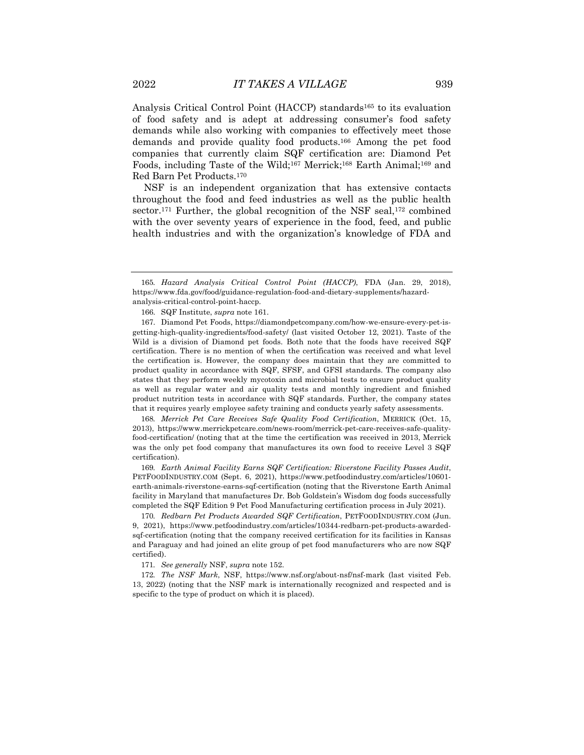Analysis Critical Control Point (HACCP) standards165 to its evaluation of food safety and is adept at addressing consumer's food safety demands while also working with companies to effectively meet those demands and provide quality food products.166 Among the pet food companies that currently claim SQF certification are: Diamond Pet Foods, including Taste of the Wild;167 Merrick;168 Earth Animal;169 and Red Barn Pet Products.170

NSF is an independent organization that has extensive contacts throughout the food and feed industries as well as the public health sector.<sup>171</sup> Further, the global recognition of the NSF seal,<sup>172</sup> combined with the over seventy years of experience in the food, feed, and public health industries and with the organization's knowledge of FDA and

168*. Merrick Pet Care Receives Safe Quality Food Certification*, MERRICK (Oct. 15, 2013), https://www.merrickpetcare.com/news-room/merrick-pet-care-receives-safe-qualityfood-certification/ (noting that at the time the certification was received in 2013, Merrick was the only pet food company that manufactures its own food to receive Level 3 SQF certification).

169*. Earth Animal Facility Earns SQF Certification: Riverstone Facility Passes Audit*, PETFOODINDUSTRY.COM (Sept. 6, 2021), https://www.petfoodindustry.com/articles/10601 earth-animals-riverstone-earns-sqf-certification (noting that the Riverstone Earth Animal facility in Maryland that manufactures Dr. Bob Goldstein's Wisdom dog foods successfully completed the SQF Edition 9 Pet Food Manufacturing certification process in July 2021).

170*. Redbarn Pet Products Awarded SQF Certification*, PETFOODINDUSTRY.COM (Jun. 9, 2021), https://www.petfoodindustry.com/articles/10344-redbarn-pet-products-awardedsqf-certification (noting that the company received certification for its facilities in Kansas and Paraguay and had joined an elite group of pet food manufacturers who are now SQF certified).

171*. See generally* NSF, *supra* note 152.

172*. The NSF Mark*, NSF, https://www.nsf.org/about-nsf/nsf-mark (last visited Feb. 13, 2022) (noting that the NSF mark is internationally recognized and respected and is specific to the type of product on which it is placed).

<sup>165</sup>*. Hazard Analysis Critical Control Point (HACCP)*, FDA (Jan. 29, 2018), https://www.fda.gov/food/guidance-regulation-food-and-dietary-supplements/hazardanalysis-critical-control-point-haccp.

<sup>166.</sup> SQF Institute, *supra* note 161.

<sup>167.</sup> Diamond Pet Foods, https://diamondpetcompany.com/how-we-ensure-every-pet-isgetting-high-quality-ingredients/food-safety/ (last visited October 12, 2021). Taste of the Wild is a division of Diamond pet foods. Both note that the foods have received SQF certification. There is no mention of when the certification was received and what level the certification is. However, the company does maintain that they are committed to product quality in accordance with SQF, SFSF, and GFSI standards. The company also states that they perform weekly mycotoxin and microbial tests to ensure product quality as well as regular water and air quality tests and monthly ingredient and finished product nutrition tests in accordance with SQF standards. Further, the company states that it requires yearly employee safety training and conducts yearly safety assessments.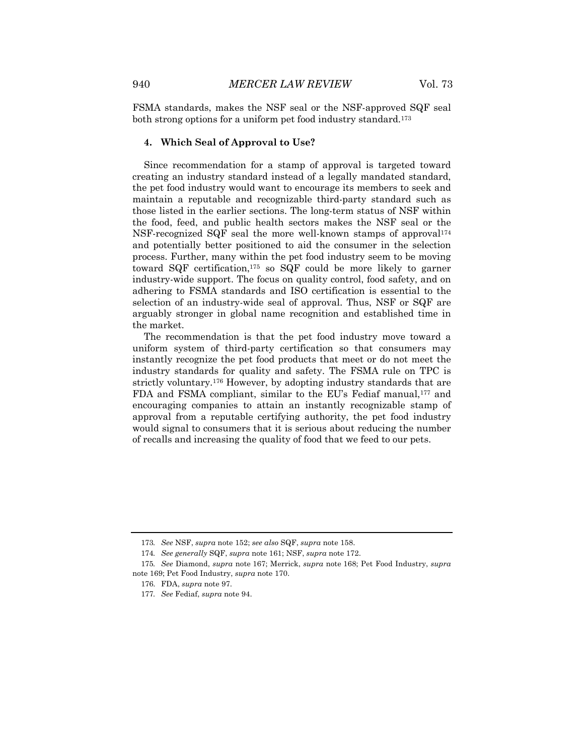FSMA standards, makes the NSF seal or the NSF-approved SQF seal both strong options for a uniform pet food industry standard.173

#### **4. Which Seal of Approval to Use?**

Since recommendation for a stamp of approval is targeted toward creating an industry standard instead of a legally mandated standard, the pet food industry would want to encourage its members to seek and maintain a reputable and recognizable third-party standard such as those listed in the earlier sections. The long-term status of NSF within the food, feed, and public health sectors makes the NSF seal or the NSF-recognized SQF seal the more well-known stamps of approval174 and potentially better positioned to aid the consumer in the selection process. Further, many within the pet food industry seem to be moving toward SQF certification,175 so SQF could be more likely to garner industry-wide support. The focus on quality control, food safety, and on adhering to FSMA standards and ISO certification is essential to the selection of an industry-wide seal of approval. Thus, NSF or SQF are arguably stronger in global name recognition and established time in the market.

The recommendation is that the pet food industry move toward a uniform system of third-party certification so that consumers may instantly recognize the pet food products that meet or do not meet the industry standards for quality and safety. The FSMA rule on TPC is strictly voluntary.176 However, by adopting industry standards that are FDA and FSMA compliant, similar to the EU's Fediaf manual,<sup>177</sup> and encouraging companies to attain an instantly recognizable stamp of approval from a reputable certifying authority, the pet food industry would signal to consumers that it is serious about reducing the number of recalls and increasing the quality of food that we feed to our pets.

<sup>173</sup>*. See* NSF, *supra* note 152; *see also* SQF, *supra* note 158.

<sup>174</sup>*. See generally* SQF, *supra* note 161; NSF, *supra* note 172.

<sup>175</sup>*. See* Diamond, *supra* note 167; Merrick, *supra* note 168; Pet Food Industry, *supra* note 169; Pet Food Industry, *supra* note 170.

<sup>176.</sup> FDA, *supra* note 97.

<sup>177</sup>*. See* Fediaf, *supra* note 94.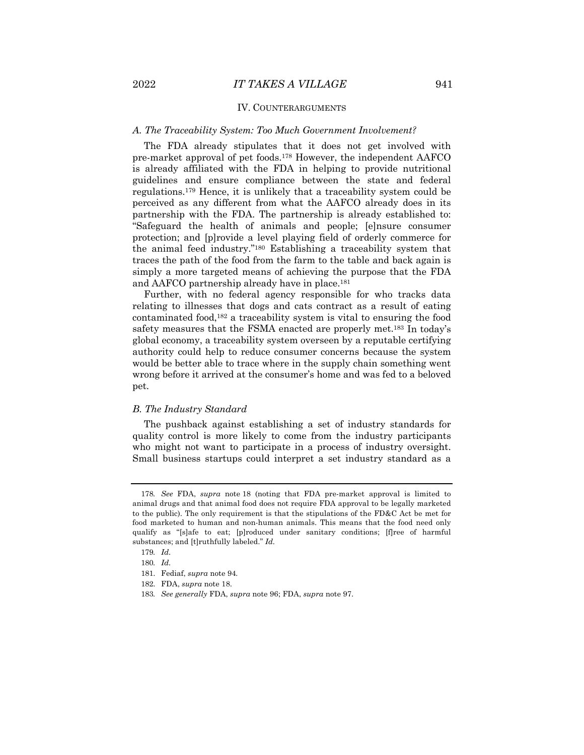#### IV. COUNTERARGUMENTS

#### *A. The Traceability System: Too Much Government Involvement?*

The FDA already stipulates that it does not get involved with pre-market approval of pet foods.178 However, the independent AAFCO is already affiliated with the FDA in helping to provide nutritional guidelines and ensure compliance between the state and federal regulations.179 Hence, it is unlikely that a traceability system could be perceived as any different from what the AAFCO already does in its partnership with the FDA. The partnership is already established to: "Safeguard the health of animals and people; [e]nsure consumer protection; and [p]rovide a level playing field of orderly commerce for the animal feed industry."180 Establishing a traceability system that traces the path of the food from the farm to the table and back again is simply a more targeted means of achieving the purpose that the FDA and AAFCO partnership already have in place.181

Further, with no federal agency responsible for who tracks data relating to illnesses that dogs and cats contract as a result of eating contaminated food,182 a traceability system is vital to ensuring the food safety measures that the FSMA enacted are properly met.183 In today's global economy, a traceability system overseen by a reputable certifying authority could help to reduce consumer concerns because the system would be better able to trace where in the supply chain something went wrong before it arrived at the consumer's home and was fed to a beloved pet.

#### *B. The Industry Standard*

The pushback against establishing a set of industry standards for quality control is more likely to come from the industry participants who might not want to participate in a process of industry oversight. Small business startups could interpret a set industry standard as a

<sup>178</sup>*. See* FDA, *supra* note 18 (noting that FDA pre-market approval is limited to animal drugs and that animal food does not require FDA approval to be legally marketed to the public). The only requirement is that the stipulations of the FD&C Act be met for food marketed to human and non-human animals. This means that the food need only qualify as "[s]afe to eat; [p]roduced under sanitary conditions; [f]ree of harmful substances; and [t]ruthfully labeled." *Id.*

<sup>179</sup>*. Id.*

<sup>180</sup>*. Id.*

<sup>181.</sup> Fediaf, *supra* note 94*.*

<sup>182.</sup> FDA, *supra* note 18.

<sup>183</sup>*. See generally* FDA, *supra* note 96; FDA, *supra* note 97.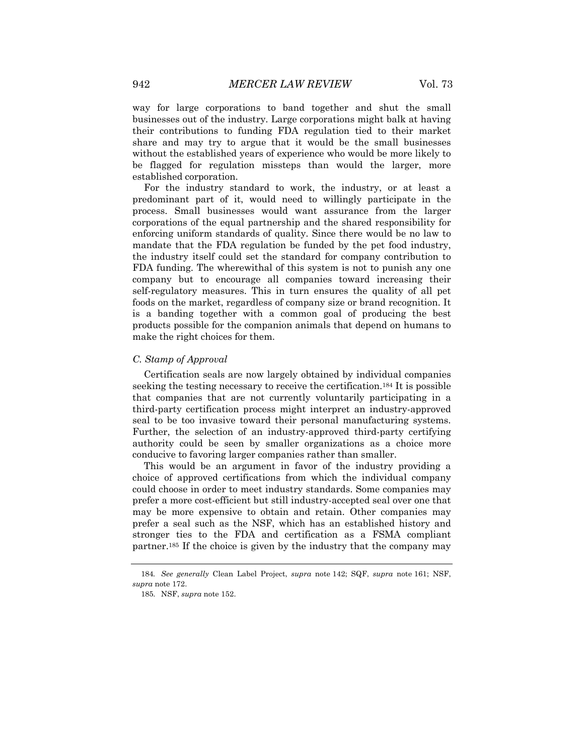way for large corporations to band together and shut the small businesses out of the industry. Large corporations might balk at having their contributions to funding FDA regulation tied to their market share and may try to argue that it would be the small businesses without the established years of experience who would be more likely to be flagged for regulation missteps than would the larger, more established corporation.

For the industry standard to work, the industry, or at least a predominant part of it, would need to willingly participate in the process. Small businesses would want assurance from the larger corporations of the equal partnership and the shared responsibility for enforcing uniform standards of quality. Since there would be no law to mandate that the FDA regulation be funded by the pet food industry, the industry itself could set the standard for company contribution to FDA funding. The wherewithal of this system is not to punish any one company but to encourage all companies toward increasing their self-regulatory measures. This in turn ensures the quality of all pet foods on the market, regardless of company size or brand recognition. It is a banding together with a common goal of producing the best products possible for the companion animals that depend on humans to make the right choices for them.

#### *C. Stamp of Approval*

Certification seals are now largely obtained by individual companies seeking the testing necessary to receive the certification.184 It is possible that companies that are not currently voluntarily participating in a third-party certification process might interpret an industry-approved seal to be too invasive toward their personal manufacturing systems. Further, the selection of an industry-approved third-party certifying authority could be seen by smaller organizations as a choice more conducive to favoring larger companies rather than smaller.

This would be an argument in favor of the industry providing a choice of approved certifications from which the individual company could choose in order to meet industry standards. Some companies may prefer a more cost-efficient but still industry-accepted seal over one that may be more expensive to obtain and retain. Other companies may prefer a seal such as the NSF, which has an established history and stronger ties to the FDA and certification as a FSMA compliant partner.185 If the choice is given by the industry that the company may

<sup>184</sup>*. See generally* Clean Label Project, *supra* note 142; SQF, *supra* note 161; NSF, *supra* note 172.

<sup>185.</sup> NSF, *supra* note 152.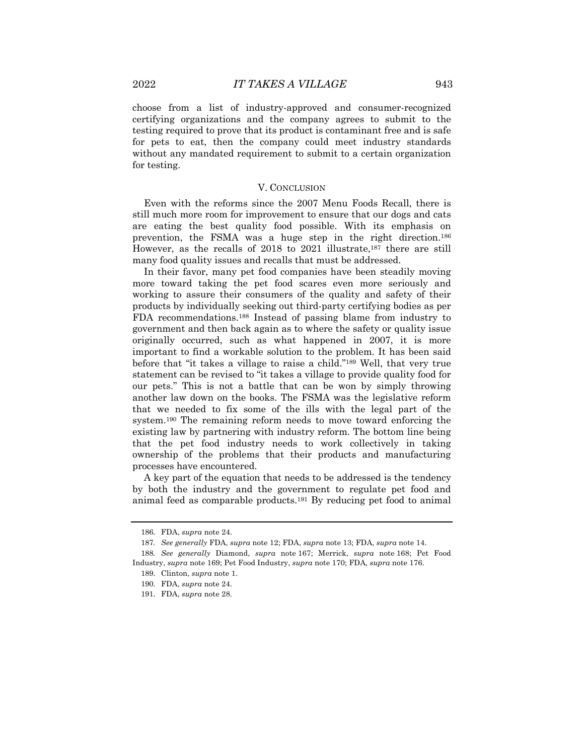choose from a list of industry-approved and consumer-recognized certifying organizations and the company agrees to submit to the testing required to prove that its product is contaminant free and is safe for pets to eat, then the company could meet industry standards without any mandated requirement to submit to a certain organization for testing.

#### V. CONCLUSION

Even with the reforms since the 2007 Menu Foods Recall, there is still much more room for improvement to ensure that our dogs and cats are eating the best quality food possible. With its emphasis on prevention, the FSMA was a huge step in the right direction.186 However, as the recalls of 2018 to 2021 illustrate,187 there are still many food quality issues and recalls that must be addressed.

In their favor, many pet food companies have been steadily moving more toward taking the pet food scares even more seriously and working to assure their consumers of the quality and safety of their products by individually seeking out third-party certifying bodies as per FDA recommendations.188 Instead of passing blame from industry to government and then back again as to where the safety or quality issue originally occurred, such as what happened in 2007, it is more important to find a workable solution to the problem. It has been said before that "it takes a village to raise a child."189 Well, that very true statement can be revised to "it takes a village to provide quality food for our pets." This is not a battle that can be won by simply throwing another law down on the books. The FSMA was the legislative reform that we needed to fix some of the ills with the legal part of the system.190 The remaining reform needs to move toward enforcing the existing law by partnering with industry reform. The bottom line being that the pet food industry needs to work collectively in taking ownership of the problems that their products and manufacturing processes have encountered.

A key part of the equation that needs to be addressed is the tendency by both the industry and the government to regulate pet food and animal feed as comparable products.191 By reducing pet food to animal

<sup>186.</sup> FDA, *supra* note 24.

<sup>187</sup>*. See generally* FDA, *supra* note 12; FDA, *supra* note 13; FDA, *supra* note 14.

<sup>188</sup>*. See generally* Diamond, *supra* note 167; Merrick, *supra* note 168; Pet Food Industry, *supra* note 169; Pet Food Industry, *supra* note 170; FDA*, supra* note 176.

<sup>189.</sup> Clinton, *supra* note 1.

<sup>190.</sup> FDA, *supra* note 24.

<sup>191.</sup> FDA, *supra* note 28.